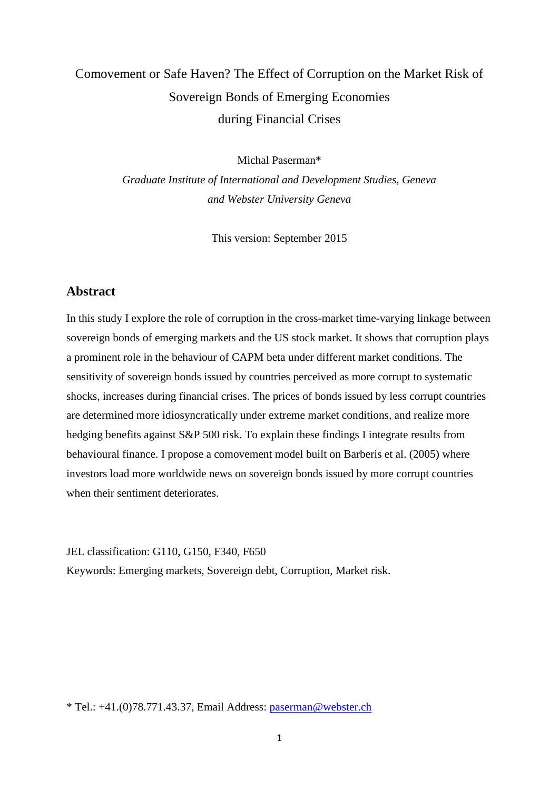# Comovement or Safe Haven? The Effect of Corruption on the Market Risk of Sovereign Bonds of Emerging Economies during Financial Crises

Michal Paserman\*

*Graduate Institute of International and Development Studies, Geneva and Webster University Geneva*

This version: September 2015

### **Abstract**

In this study I explore the role of corruption in the cross-market time-varying linkage between sovereign bonds of emerging markets and the US stock market. It shows that corruption plays a prominent role in the behaviour of CAPM beta under different market conditions. The sensitivity of sovereign bonds issued by countries perceived as more corrupt to systematic shocks, increases during financial crises. The prices of bonds issued by less corrupt countries are determined more idiosyncratically under extreme market conditions, and realize more hedging benefits against S&P 500 risk. To explain these findings I integrate results from behavioural finance. I propose a comovement model built on Barberis et al. (2005) where investors load more worldwide news on sovereign bonds issued by more corrupt countries when their sentiment deteriorates.

JEL classification: G110, G150, F340, F650 Keywords: Emerging markets, Sovereign debt, Corruption, Market risk.

\* Tel.: +41.(0)78.771.43.37, Email Address: [paserman@webster.ch](mailto:paserman@webster.ch)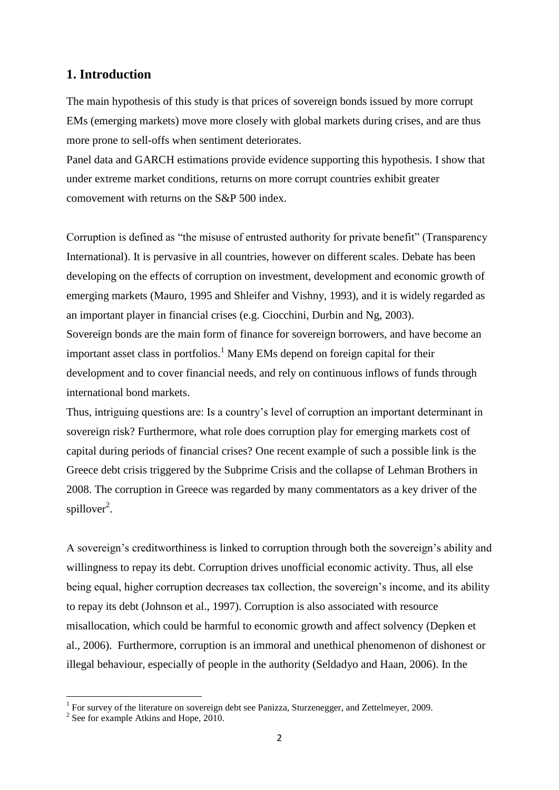### **1. Introduction**

The main hypothesis of this study is that prices of sovereign bonds issued by more corrupt EMs (emerging markets) move more closely with global markets during crises, and are thus more prone to sell-offs when sentiment deteriorates.

Panel data and GARCH estimations provide evidence supporting this hypothesis. I show that under extreme market conditions, returns on more corrupt countries exhibit greater comovement with returns on the S&P 500 index.

Corruption is defined as "the misuse of entrusted authority for private benefit" (Transparency International). It is pervasive in all countries, however on different scales. Debate has been developing on the effects of corruption on investment, development and economic growth of emerging markets (Mauro, 1995 and Shleifer and Vishny, 1993), and it is widely regarded as an important player in financial crises (e.g. Ciocchini, Durbin and Ng, 2003). Sovereign bonds are the main form of finance for sovereign borrowers, and have become an important asset class in portfolios.<sup>1</sup> Many EMs depend on foreign capital for their development and to cover financial needs, and rely on continuous inflows of funds through international bond markets.

Thus, intriguing questions are: Is a country's level of corruption an important determinant in sovereign risk? Furthermore, what role does corruption play for emerging markets cost of capital during periods of financial crises? One recent example of such a possible link is the Greece debt crisis triggered by the Subprime Crisis and the collapse of Lehman Brothers in 2008. The corruption in Greece was regarded by many commentators as a key driver of the spillover<sup>2</sup>.

A sovereign's creditworthiness is linked to corruption through both the sovereign's ability and willingness to repay its debt. Corruption drives unofficial economic activity. Thus, all else being equal, higher corruption decreases tax collection, the sovereign's income, and its ability to repay its debt (Johnson et al., 1997). Corruption is also associated with resource misallocation, which could be harmful to economic growth and affect solvency (Depken et al., 2006). Furthermore, corruption is an immoral and unethical phenomenon of dishonest or illegal behaviour, especially of people in the authority (Seldadyo and Haan, 2006). In the

<u>.</u>

 $1$  For survey of the literature on sovereign debt see Panizza, Sturzenegger, and Zettelmeyer, 2009.

<sup>&</sup>lt;sup>2</sup> See for example Atkins and Hope, 2010.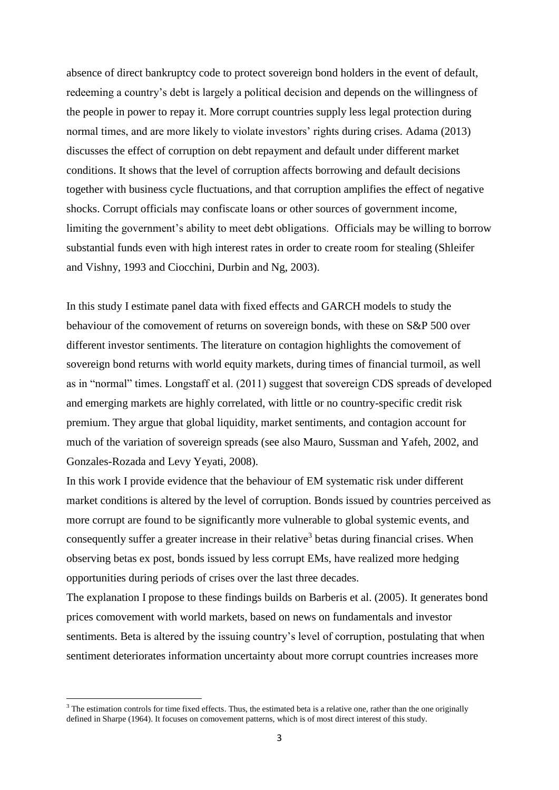absence of direct bankruptcy code to protect sovereign bond holders in the event of default, redeeming a country's debt is largely a political decision and depends on the willingness of the people in power to repay it. More corrupt countries supply less legal protection during normal times, and are more likely to violate investors' rights during crises. Adama (2013) discusses the effect of corruption on debt repayment and default under different market conditions. It shows that the level of corruption affects borrowing and default decisions together with business cycle fluctuations, and that corruption amplifies the effect of negative shocks. Corrupt officials may confiscate loans or other sources of government income, limiting the government's ability to meet debt obligations. Officials may be willing to borrow substantial funds even with high interest rates in order to create room for stealing (Shleifer and Vishny, 1993 and Ciocchini, Durbin and Ng, 2003).

In this study I estimate panel data with fixed effects and GARCH models to study the behaviour of the comovement of returns on sovereign bonds, with these on S&P 500 over different investor sentiments. The literature on contagion highlights the comovement of sovereign bond returns with world equity markets, during times of financial turmoil, as well as in "normal" times. Longstaff et al. (2011) suggest that sovereign CDS spreads of developed and emerging markets are highly correlated, with little or no country-specific credit risk premium. They argue that global liquidity, market sentiments, and contagion account for much of the variation of sovereign spreads (see also Mauro, Sussman and Yafeh, 2002, and Gonzales-Rozada and Levy Yeyati, 2008).

In this work I provide evidence that the behaviour of EM systematic risk under different market conditions is altered by the level of corruption. Bonds issued by countries perceived as more corrupt are found to be significantly more vulnerable to global systemic events, and consequently suffer a greater increase in their relative<sup>3</sup> betas during financial crises. When observing betas ex post, bonds issued by less corrupt EMs, have realized more hedging opportunities during periods of crises over the last three decades.

The explanation I propose to these findings builds on Barberis et al. (2005). It generates bond prices comovement with world markets, based on news on fundamentals and investor sentiments. Beta is altered by the issuing country's level of corruption, postulating that when sentiment deteriorates information uncertainty about more corrupt countries increases more

 $3$  The estimation controls for time fixed effects. Thus, the estimated beta is a relative one, rather than the one originally defined in Sharpe (1964). It focuses on comovement patterns, which is of most direct interest of this study.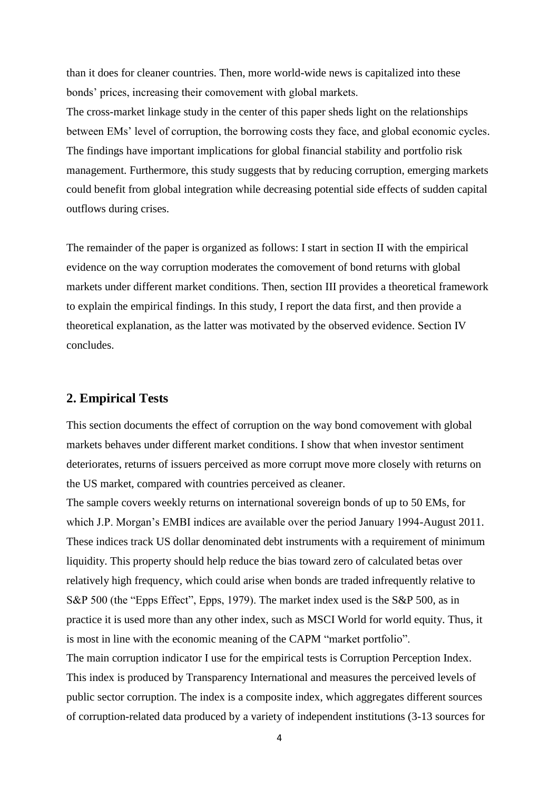than it does for cleaner countries. Then, more world-wide news is capitalized into these bonds' prices, increasing their comovement with global markets.

The cross-market linkage study in the center of this paper sheds light on the relationships between EMs' level of corruption, the borrowing costs they face, and global economic cycles. The findings have important implications for global financial stability and portfolio risk management. Furthermore, this study suggests that by reducing corruption, emerging markets could benefit from global integration while decreasing potential side effects of sudden capital outflows during crises.

The remainder of the paper is organized as follows: I start in section II with the empirical evidence on the way corruption moderates the comovement of bond returns with global markets under different market conditions. Then, section III provides a theoretical framework to explain the empirical findings. In this study, I report the data first, and then provide a theoretical explanation, as the latter was motivated by the observed evidence. Section IV concludes.

### **2. Empirical Tests**

This section documents the effect of corruption on the way bond comovement with global markets behaves under different market conditions. I show that when investor sentiment deteriorates, returns of issuers perceived as more corrupt move more closely with returns on the US market, compared with countries perceived as cleaner.

The sample covers weekly returns on international sovereign bonds of up to 50 EMs, for which J.P. Morgan's EMBI indices are available over the period January 1994-August 2011. These indices track US dollar denominated debt instruments with a requirement of minimum liquidity. This property should help reduce the bias toward zero of calculated betas over relatively high frequency, which could arise when bonds are traded infrequently relative to S&P 500 (the "Epps Effect", Epps, 1979). The market index used is the S&P 500, as in practice it is used more than any other index, such as MSCI World for world equity. Thus, it is most in line with the economic meaning of the CAPM "market portfolio". The main corruption indicator I use for the empirical tests is Corruption Perception Index. This index is produced by Transparency International and measures the perceived levels of public sector corruption. The index is a composite index, which aggregates different sources of corruption-related data produced by a variety of independent institutions (3-13 sources for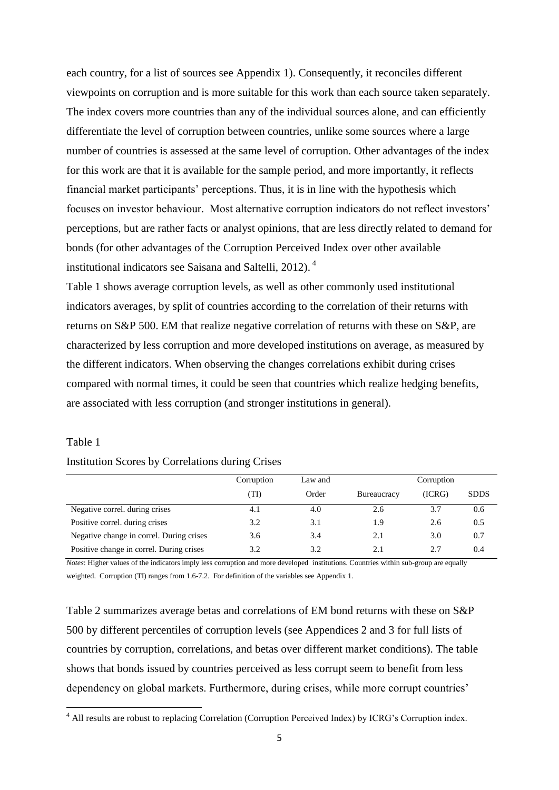each country, for a list of sources see Appendix 1). Consequently, it reconciles different viewpoints on corruption and is more suitable for this work than each source taken separately. The index covers more countries than any of the individual sources alone, and can efficiently differentiate the level of corruption between countries, unlike some sources where a large number of countries is assessed at the same level of corruption. Other advantages of the index for this work are that it is available for the sample period, and more importantly, it reflects financial market participants' perceptions. Thus, it is in line with the hypothesis which focuses on investor behaviour. Most alternative corruption indicators do not reflect investors' perceptions, but are rather facts or analyst opinions, that are less directly related to demand for bonds (for other advantages of the Corruption Perceived Index over other available institutional indicators see Saisana and Saltelli, 2012). <sup>4</sup>

Table 1 shows average corruption levels, as well as other commonly used institutional indicators averages, by split of countries according to the correlation of their returns with returns on S&P 500. EM that realize negative correlation of returns with these on S&P, are characterized by less corruption and more developed institutions on average, as measured by the different indicators. When observing the changes correlations exhibit during crises compared with normal times, it could be seen that countries which realize hedging benefits, are associated with less corruption (and stronger institutions in general).

#### Table 1

1

#### Institution Scores by Correlations during Crises

|                                          | Corruption | Law and | Corruption  |        |             |
|------------------------------------------|------------|---------|-------------|--------|-------------|
|                                          | (TI)       | Order   | Bureaucracy | (ICRG) | <b>SDDS</b> |
| Negative correl. during crises           | 4.1        | 4.0     | 2.6         | 3.7    | 0.6         |
| Positive correl. during crises           | 3.2        | 3.1     | 1.9         | 2.6    | 0.5         |
| Negative change in correl. During crises | 3.6        | 3.4     | 2.1         | 3.0    | 0.7         |
| Positive change in correl. During crises | 3.2        | 3.2     | 2.1         | 2.7    | 0.4         |

*Notes*: Higher values of the indicators imply less corruption and more developed institutions. Countries within sub-group are equally weighted. Corruption (TI) ranges from 1.6-7.2. For definition of the variables see Appendix 1.

Table 2 summarizes average betas and correlations of EM bond returns with these on S&P 500 by different percentiles of corruption levels (see Appendices 2 and 3 for full lists of countries by corruption, correlations, and betas over different market conditions). The table shows that bonds issued by countries perceived as less corrupt seem to benefit from less dependency on global markets. Furthermore, during crises, while more corrupt countries'

<sup>&</sup>lt;sup>4</sup> All results are robust to replacing Correlation (Corruption Perceived Index) by ICRG's Corruption index.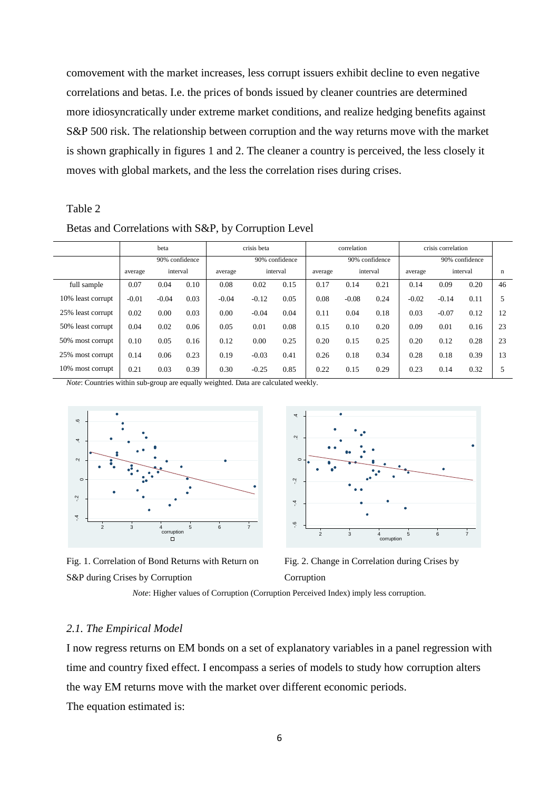comovement with the market increases, less corrupt issuers exhibit decline to even negative correlations and betas. I.e. the prices of bonds issued by cleaner countries are determined more idiosyncratically under extreme market conditions, and realize hedging benefits against S&P 500 risk. The relationship between corruption and the way returns move with the market is shown graphically in figures 1 and 2. The cleaner a country is perceived, the less closely it moves with global markets, and the less the correlation rises during crises.

#### Table 2

Betas and Correlations with S&P, by Corruption Level

|                   |         | beta           |      | crisis beta |                |          | correlation |                |          | crisis correlation |                |          |    |
|-------------------|---------|----------------|------|-------------|----------------|----------|-------------|----------------|----------|--------------------|----------------|----------|----|
|                   |         | 90% confidence |      |             | 90% confidence |          |             | 90% confidence |          |                    | 90% confidence |          |    |
|                   | average | interval       |      | average     |                | interval | average     |                | interval | average            |                | interval | n  |
| full sample       | 0.07    | 0.04           | 0.10 | 0.08        | 0.02           | 0.15     | 0.17        | 0.14           | 0.21     | 0.14               | 0.09           | 0.20     | 46 |
| 10% least corrupt | $-0.01$ | $-0.04$        | 0.03 | $-0.04$     | $-0.12$        | 0.05     | 0.08        | $-0.08$        | 0.24     | $-0.02$            | $-0.14$        | 0.11     | 5  |
| 25% least corrupt | 0.02    | 0.00           | 0.03 | 0.00        | $-0.04$        | 0.04     | 0.11        | 0.04           | 0.18     | 0.03               | $-0.07$        | 0.12     | 12 |
| 50% least corrupt | 0.04    | 0.02           | 0.06 | 0.05        | 0.01           | 0.08     | 0.15        | 0.10           | 0.20     | 0.09               | 0.01           | 0.16     | 23 |
| 50% most corrupt  | 0.10    | 0.05           | 0.16 | 0.12        | 0.00           | 0.25     | 0.20        | 0.15           | 0.25     | 0.20               | 0.12           | 0.28     | 23 |
| 25% most corrupt  | 0.14    | 0.06           | 0.23 | 0.19        | $-0.03$        | 0.41     | 0.26        | 0.18           | 0.34     | 0.28               | 0.18           | 0.39     | 13 |
| 10% most corrupt  | 0.21    | 0.03           | 0.39 | 0.30        | $-0.25$        | 0.85     | 0.22        | 0.15           | 0.29     | 0.23               | 0.14           | 0.32     | 5  |

*Note*: Countries within sub-group are equally weighted. Data are calculated weekly.



Fig. 1. Correlation of Bond Returns with Return on S&P during Crises by Corruption



Fig. 2. Change in Correlation during Crises by Corruption

*Note*: Higher values of Corruption (Corruption Perceived Index) imply less corruption.

#### *2.1. The Empirical Model*

I now regress returns on EM bonds on a set of explanatory variables in a panel regression with time and country fixed effect. I encompass a series of models to study how corruption alters the way EM returns move with the market over different economic periods. The equation estimated is: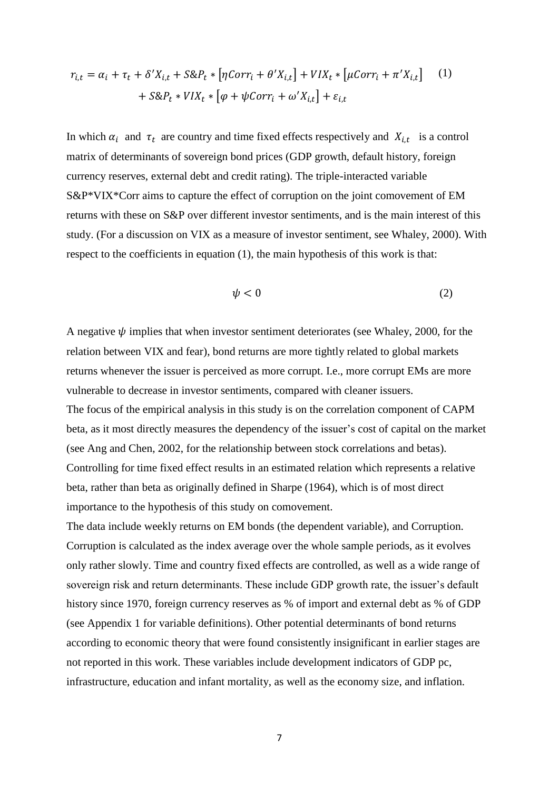$$
r_{i,t} = \alpha_i + \tau_t + \delta' X_{i,t} + S \& P_t * [\eta \text{Corr}_i + \theta' X_{i,t}] + VIX_t * [\mu \text{Corr}_i + \pi' X_{i,t}] \tag{1}
$$

$$
+ S \& P_t * VIX_t * [\varphi + \psi \text{Corr}_i + \omega' X_{i,t}] + \varepsilon_{i,t}
$$

In which  $\alpha_i$  and  $\tau_t$  are country and time fixed effects respectively and  $X_{i,t}$  is a control matrix of determinants of sovereign bond prices (GDP growth, default history, foreign currency reserves, external debt and credit rating). The triple-interacted variable S&P\*VIX\*Corr aims to capture the effect of corruption on the joint comovement of EM returns with these on S&P over different investor sentiments, and is the main interest of this study. (For a discussion on VIX as a measure of investor sentiment, see Whaley, 2000). With respect to the coefficients in equation (1), the main hypothesis of this work is that:

$$
\psi < 0 \tag{2}
$$

A negative  $\psi$  implies that when investor sentiment deteriorates (see Whaley, 2000, for the relation between VIX and fear), bond returns are more tightly related to global markets returns whenever the issuer is perceived as more corrupt. I.e., more corrupt EMs are more vulnerable to decrease in investor sentiments, compared with cleaner issuers. The focus of the empirical analysis in this study is on the correlation component of CAPM beta, as it most directly measures the dependency of the issuer's cost of capital on the market (see Ang and Chen, 2002, for the relationship between stock correlations and betas). Controlling for time fixed effect results in an estimated relation which represents a relative beta, rather than beta as originally defined in Sharpe (1964), which is of most direct importance to the hypothesis of this study on comovement.

The data include weekly returns on EM bonds (the dependent variable), and Corruption. Corruption is calculated as the index average over the whole sample periods, as it evolves only rather slowly. Time and country fixed effects are controlled, as well as a wide range of sovereign risk and return determinants. These include GDP growth rate, the issuer's default history since 1970, foreign currency reserves as % of import and external debt as % of GDP (see Appendix 1 for variable definitions). Other potential determinants of bond returns according to economic theory that were found consistently insignificant in earlier stages are not reported in this work. These variables include development indicators of GDP pc, infrastructure, education and infant mortality, as well as the economy size, and inflation.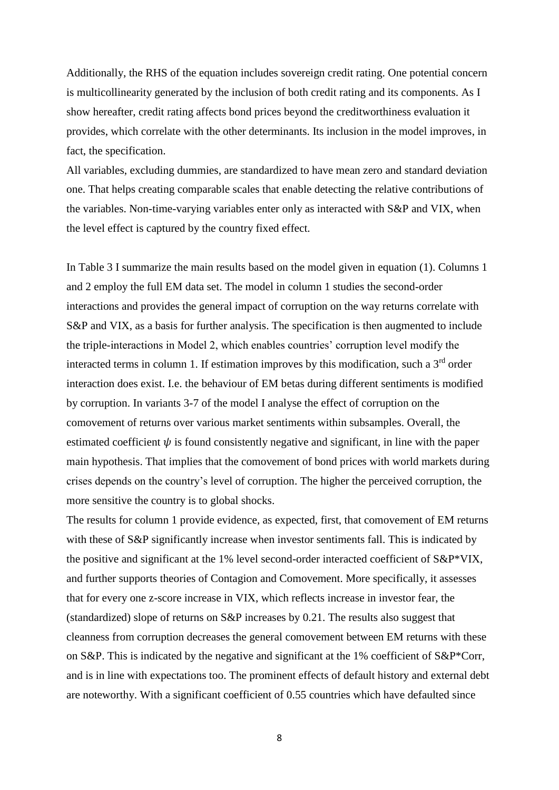Additionally, the RHS of the equation includes sovereign credit rating. One potential concern is multicollinearity generated by the inclusion of both credit rating and its components. As I show hereafter, credit rating affects bond prices beyond the creditworthiness evaluation it provides, which correlate with the other determinants. Its inclusion in the model improves, in fact, the specification.

All variables, excluding dummies, are standardized to have mean zero and standard deviation one. That helps creating comparable scales that enable detecting the relative contributions of the variables. Non-time-varying variables enter only as interacted with S&P and VIX, when the level effect is captured by the country fixed effect.

In Table 3 I summarize the main results based on the model given in equation (1). Columns 1 and 2 employ the full EM data set. The model in column 1 studies the second-order interactions and provides the general impact of corruption on the way returns correlate with S&P and VIX, as a basis for further analysis. The specification is then augmented to include the triple-interactions in Model 2, which enables countries' corruption level modify the interacted terms in column 1. If estimation improves by this modification, such a  $3<sup>rd</sup>$  order interaction does exist. I.e. the behaviour of EM betas during different sentiments is modified by corruption. In variants 3-7 of the model I analyse the effect of corruption on the comovement of returns over various market sentiments within subsamples. Overall, the estimated coefficient  $\psi$  is found consistently negative and significant, in line with the paper main hypothesis. That implies that the comovement of bond prices with world markets during crises depends on the country's level of corruption. The higher the perceived corruption, the more sensitive the country is to global shocks.

The results for column 1 provide evidence, as expected, first, that comovement of EM returns with these of S&P significantly increase when investor sentiments fall. This is indicated by the positive and significant at the 1% level second-order interacted coefficient of S&P\*VIX, and further supports theories of Contagion and Comovement. More specifically, it assesses that for every one z-score increase in VIX, which reflects increase in investor fear, the (standardized) slope of returns on S&P increases by 0.21. The results also suggest that cleanness from corruption decreases the general comovement between EM returns with these on S&P. This is indicated by the negative and significant at the 1% coefficient of S&P\*Corr, and is in line with expectations too. The prominent effects of default history and external debt are noteworthy. With a significant coefficient of 0.55 countries which have defaulted since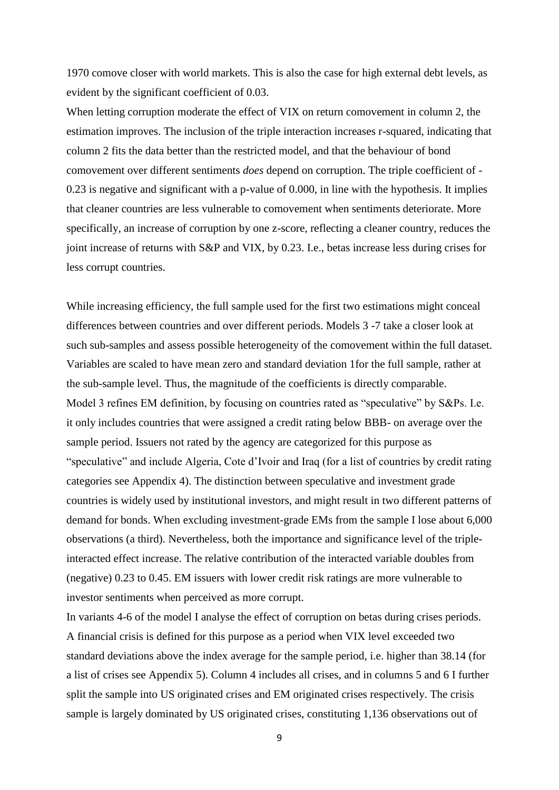1970 comove closer with world markets. This is also the case for high external debt levels, as evident by the significant coefficient of 0.03.

When letting corruption moderate the effect of VIX on return comovement in column 2, the estimation improves. The inclusion of the triple interaction increases r-squared, indicating that column 2 fits the data better than the restricted model, and that the behaviour of bond comovement over different sentiments *does* depend on corruption. The triple coefficient of - 0.23 is negative and significant with a p-value of 0.000, in line with the hypothesis. It implies that cleaner countries are less vulnerable to comovement when sentiments deteriorate. More specifically, an increase of corruption by one z-score, reflecting a cleaner country, reduces the joint increase of returns with S&P and VIX, by 0.23. I.e., betas increase less during crises for less corrupt countries.

While increasing efficiency, the full sample used for the first two estimations might conceal differences between countries and over different periods. Models 3 -7 take a closer look at such sub-samples and assess possible heterogeneity of the comovement within the full dataset. Variables are scaled to have mean zero and standard deviation 1for the full sample, rather at the sub-sample level. Thus, the magnitude of the coefficients is directly comparable. Model 3 refines EM definition, by focusing on countries rated as "speculative" by S&Ps. I.e. it only includes countries that were assigned a credit rating below BBB- on average over the sample period. Issuers not rated by the agency are categorized for this purpose as "speculative" and include Algeria, Cote d'Ivoir and Iraq (for a list of countries by credit rating categories see Appendix 4). The distinction between speculative and investment grade countries is widely used by institutional investors, and might result in two different patterns of demand for bonds. When excluding investment-grade EMs from the sample I lose about 6,000 observations (a third). Nevertheless, both the importance and significance level of the tripleinteracted effect increase. The relative contribution of the interacted variable doubles from (negative) 0.23 to 0.45. EM issuers with lower credit risk ratings are more vulnerable to investor sentiments when perceived as more corrupt.

In variants 4-6 of the model I analyse the effect of corruption on betas during crises periods. A financial crisis is defined for this purpose as a period when VIX level exceeded two standard deviations above the index average for the sample period, i.e. higher than 38.14 (for a list of crises see Appendix 5). Column 4 includes all crises, and in columns 5 and 6 I further split the sample into US originated crises and EM originated crises respectively. The crisis sample is largely dominated by US originated crises, constituting 1,136 observations out of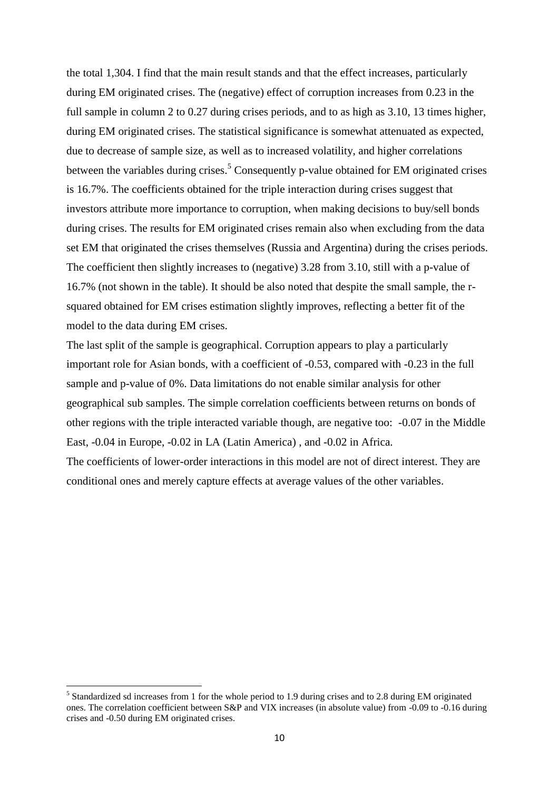the total 1,304. I find that the main result stands and that the effect increases, particularly during EM originated crises. The (negative) effect of corruption increases from 0.23 in the full sample in column 2 to 0.27 during crises periods, and to as high as 3.10, 13 times higher, during EM originated crises. The statistical significance is somewhat attenuated as expected, due to decrease of sample size, as well as to increased volatility, and higher correlations between the variables during crises.<sup>5</sup> Consequently p-value obtained for EM originated crises is 16.7%. The coefficients obtained for the triple interaction during crises suggest that investors attribute more importance to corruption, when making decisions to buy/sell bonds during crises. The results for EM originated crises remain also when excluding from the data set EM that originated the crises themselves (Russia and Argentina) during the crises periods. The coefficient then slightly increases to (negative) 3.28 from 3.10, still with a p-value of 16.7% (not shown in the table). It should be also noted that despite the small sample, the rsquared obtained for EM crises estimation slightly improves, reflecting a better fit of the model to the data during EM crises.

The last split of the sample is geographical. Corruption appears to play a particularly important role for Asian bonds, with a coefficient of -0.53, compared with -0.23 in the full sample and p-value of 0%. Data limitations do not enable similar analysis for other geographical sub samples. The simple correlation coefficients between returns on bonds of other regions with the triple interacted variable though, are negative too: -0.07 in the Middle East, -0.04 in Europe, -0.02 in LA (Latin America) , and -0.02 in Africa. The coefficients of lower-order interactions in this model are not of direct interest. They are conditional ones and merely capture effects at average values of the other variables.

<sup>&</sup>lt;sup>5</sup> Standardized sd increases from 1 for the whole period to 1.9 during crises and to 2.8 during EM originated ones. The correlation coefficient between S&P and VIX increases (in absolute value) from -0.09 to -0.16 during crises and -0.50 during EM originated crises.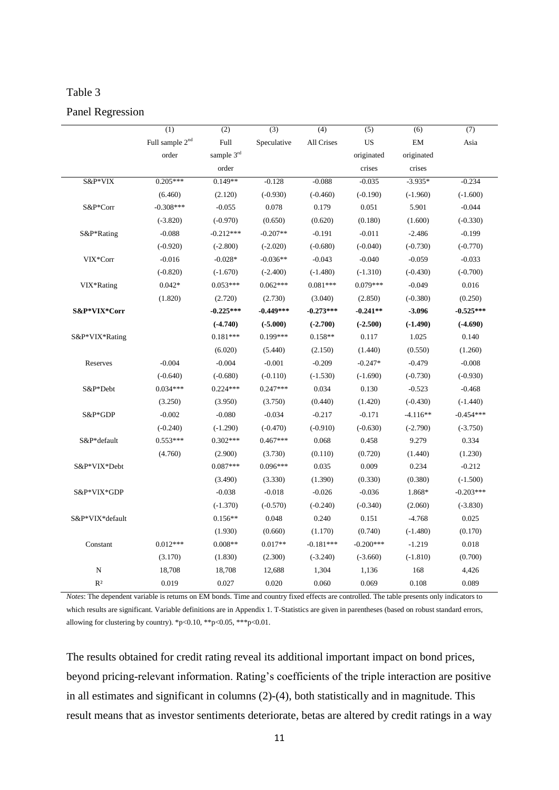## Table 3

#### Panel Regression

|                 | (1)                         | $\overline{(2)}$ | (3)         | (4)         | $\overline{(5)}$ | (6)        | $\overline{(7)}$ |
|-----------------|-----------------------------|------------------|-------------|-------------|------------------|------------|------------------|
|                 | Full sample 2 <sup>nd</sup> | Full             | Speculative | All Crises  | <b>US</b>        | EM         | Asia             |
|                 | order                       | sample 3rd       |             |             | originated       | originated |                  |
|                 |                             | order            |             |             | crises           | crises     |                  |
| S&P*VIX         | $0.205***$                  | $0.149**$        | $-0.128$    | $-0.088$    | $-0.035$         | $-3.935*$  | $-0.234$         |
|                 | (6.460)                     | (2.120)          | $(-0.930)$  | $(-0.460)$  | $(-0.190)$       | $(-1.960)$ | $(-1.600)$       |
| S&P*Corr        | $-0.308***$                 | $-0.055$         | 0.078       | 0.179       | 0.051            | 5.901      | $-0.044$         |
|                 | $(-3.820)$                  | $(-0.970)$       | (0.650)     | (0.620)     | (0.180)          | (1.600)    | $(-0.330)$       |
| S&P*Rating      | $-0.088$                    | $-0.212***$      | $-0.207**$  | $-0.191$    | $-0.011$         | $-2.486$   | $-0.199$         |
|                 | $(-0.920)$                  | $(-2.800)$       | $(-2.020)$  | $(-0.680)$  | $(-0.040)$       | $(-0.730)$ | $(-0.770)$       |
| VIX*Corr        | $-0.016$                    | $-0.028*$        | $-0.036**$  | $-0.043$    | $-0.040$         | $-0.059$   | $-0.033$         |
|                 | $(-0.820)$                  | $(-1.670)$       | $(-2.400)$  | $(-1.480)$  | $(-1.310)$       | $(-0.430)$ | $(-0.700)$       |
| VIX*Rating      | $0.042*$                    | $0.053***$       | $0.062***$  | $0.081***$  | $0.079***$       | $-0.049$   | 0.016            |
|                 | (1.820)                     | (2.720)          | (2.730)     | (3.040)     | (2.850)          | $(-0.380)$ | (0.250)          |
| S&P*VIX*Corr    |                             | $-0.225***$      | $-0.449***$ | $-0.273***$ | $-0.241**$       | $-3.096$   | $-0.525***$      |
|                 |                             | $(-4.740)$       | $(-5.000)$  | $(-2.700)$  | $(-2.500)$       | $(-1.490)$ | $(-4.690)$       |
| S&P*VIX*Rating  |                             | $0.181***$       | $0.199***$  | $0.158**$   | 0.117            | 1.025      | 0.140            |
|                 |                             | (6.020)          | (5.440)     | (2.150)     | (1.440)          | (0.550)    | (1.260)          |
| Reserves        | $-0.004$                    | $-0.004$         | $-0.001$    | $-0.209$    | $-0.247*$        | $-0.479$   | $-0.008$         |
|                 | $(-0.640)$                  | $(-0.680)$       | $(-0.110)$  | $(-1.530)$  | $(-1.690)$       | $(-0.730)$ | $(-0.930)$       |
| S&P*Debt        | $0.034***$                  | $0.224***$       | $0.247***$  | 0.034       | 0.130            | $-0.523$   | $-0.468$         |
|                 | (3.250)                     | (3.950)          | (3.750)     | (0.440)     | (1.420)          | $(-0.430)$ | $(-1.440)$       |
| S&P*GDP         | $-0.002$                    | $-0.080$         | $-0.034$    | $-0.217$    | $-0.171$         | $-4.116**$ | $-0.454***$      |
|                 | $(-0.240)$                  | $(-1.290)$       | $(-0.470)$  | $(-0.910)$  | $(-0.630)$       | $(-2.790)$ | $(-3.750)$       |
| S&P*default     | $0.553***$                  | $0.302***$       | $0.467***$  | 0.068       | 0.458            | 9.279      | 0.334            |
|                 | (4.760)                     | (2.900)          | (3.730)     | (0.110)     | (0.720)          | (1.440)    | (1.230)          |
| S&P*VIX*Debt    |                             | $0.087***$       | $0.096***$  | 0.035       | 0.009            | 0.234      | $-0.212$         |
|                 |                             | (3.490)          | (3.330)     | (1.390)     | (0.330)          | (0.380)    | $(-1.500)$       |
| S&P*VIX*GDP     |                             | $-0.038$         | $-0.018$    | $-0.026$    | $-0.036$         | 1.868*     | $-0.203***$      |
|                 |                             | $(-1.370)$       | $(-0.570)$  | $(-0.240)$  | $(-0.340)$       | (2.060)    | $(-3.830)$       |
| S&P*VIX*default |                             | $0.156**$        | 0.048       | 0.240       | 0.151            | $-4.768$   | 0.025            |
|                 |                             | (1.930)          | (0.660)     | (1.170)     | (0.740)          | $(-1.480)$ | (0.170)          |
| Constant        | $0.012***$                  | $0.008**$        | $0.017**$   | $-0.181***$ | $-0.200***$      | $-1.219$   | 0.018            |
|                 | (3.170)                     | (1.830)          | (2.300)     | $(-3.240)$  | $(-3.660)$       | $(-1.810)$ | (0.700)          |
| ${\bf N}$       | 18,708                      | 18,708           | 12,688      | 1,304       | 1,136            | 168        | 4,426            |
|                 |                             |                  |             |             |                  |            |                  |
| R <sup>2</sup>  | 0.019                       | 0.027            | 0.020       | 0.060       | 0.069            | 0.108      | 0.089            |

*Notes*: The dependent variable is returns on EM bonds. Time and country fixed effects are controlled. The table presents only indicators to which results are significant. Variable definitions are in Appendix 1. T-Statistics are given in parentheses (based on robust standard errors, allowing for clustering by country). \*p<0.10, \*\*p<0.05, \*\*\*p<0.01.

The results obtained for credit rating reveal its additional important impact on bond prices, beyond pricing-relevant information. Rating's coefficients of the triple interaction are positive in all estimates and significant in columns (2)-(4), both statistically and in magnitude. This result means that as investor sentiments deteriorate, betas are altered by credit ratings in a way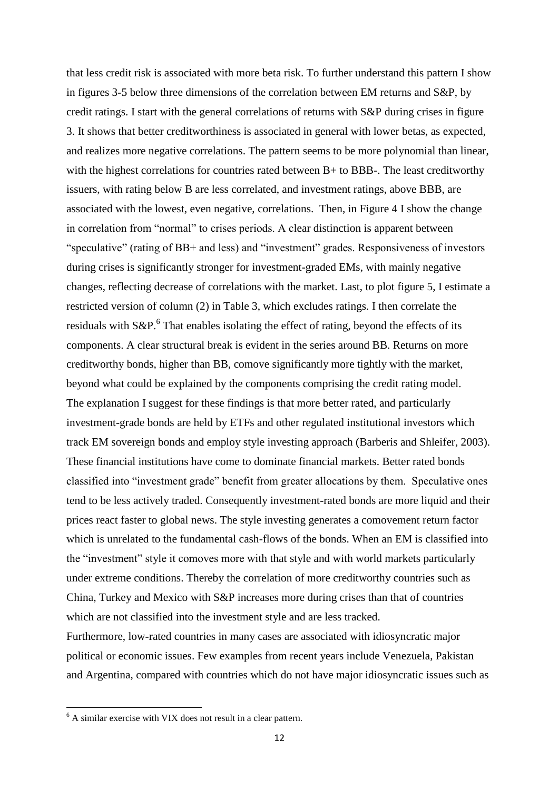that less credit risk is associated with more beta risk. To further understand this pattern I show in figures 3-5 below three dimensions of the correlation between EM returns and S&P, by credit ratings. I start with the general correlations of returns with S&P during crises in figure 3. It shows that better creditworthiness is associated in general with lower betas, as expected, and realizes more negative correlations. The pattern seems to be more polynomial than linear, with the highest correlations for countries rated between B+ to BBB-. The least creditworthy issuers, with rating below B are less correlated, and investment ratings, above BBB, are associated with the lowest, even negative, correlations. Then, in Figure 4 I show the change in correlation from "normal" to crises periods. A clear distinction is apparent between "speculative" (rating of BB+ and less) and "investment" grades. Responsiveness of investors during crises is significantly stronger for investment-graded EMs, with mainly negative changes, reflecting decrease of correlations with the market. Last, to plot figure 5, I estimate a restricted version of column (2) in Table 3, which excludes ratings. I then correlate the residuals with  $S\&P$ .<sup>6</sup> That enables isolating the effect of rating, beyond the effects of its components. A clear structural break is evident in the series around BB. Returns on more creditworthy bonds, higher than BB, comove significantly more tightly with the market, beyond what could be explained by the components comprising the credit rating model. The explanation I suggest for these findings is that more better rated, and particularly investment-grade bonds are held by ETFs and other regulated institutional investors which track EM sovereign bonds and employ style investing approach (Barberis and Shleifer, 2003). These financial institutions have come to dominate financial markets. Better rated bonds classified into "investment grade" benefit from greater allocations by them. Speculative ones tend to be less actively traded. Consequently investment-rated bonds are more liquid and their prices react faster to global news. The style investing generates a comovement return factor which is unrelated to the fundamental cash-flows of the bonds. When an EM is classified into the "investment" style it comoves more with that style and with world markets particularly under extreme conditions. Thereby the correlation of more creditworthy countries such as China, Turkey and Mexico with S&P increases more during crises than that of countries which are not classified into the investment style and are less tracked.

Furthermore, low-rated countries in many cases are associated with idiosyncratic major political or economic issues. Few examples from recent years include Venezuela, Pakistan and Argentina, compared with countries which do not have major idiosyncratic issues such as

 $6$  A similar exercise with VIX does not result in a clear pattern.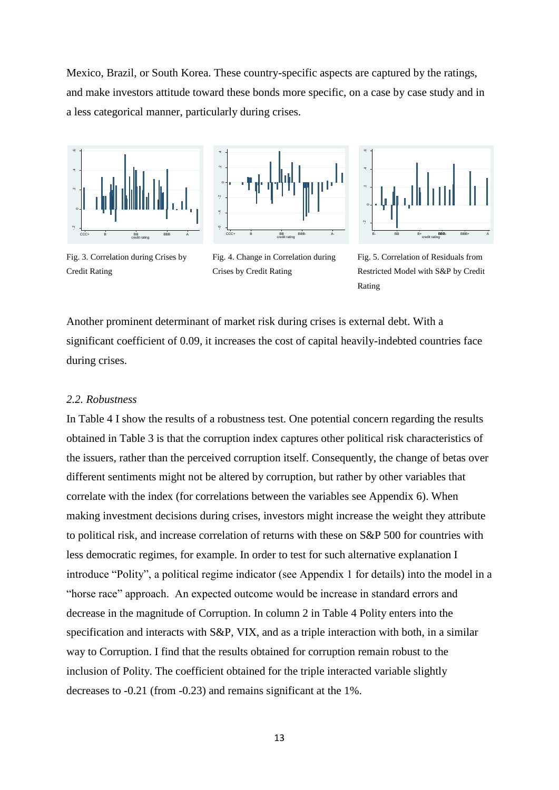Mexico, Brazil, or South Korea. These country-specific aspects are captured by the ratings, and make investors attitude toward these bonds more specific, on a case by case study and in a less categorical manner, particularly during crises.







Fig. 3. Correlation during Crises by Credit Rating

Fig. 4. Change in Correlation during Crises by Credit Rating

Fig. 5. Correlation of Residuals from Restricted Model with S&P by Credit Rating

Another prominent determinant of market risk during crises is external debt. With a significant coefficient of 0.09, it increases the cost of capital heavily-indebted countries face during crises.

#### *2.2. Robustness*

In Table 4 I show the results of a robustness test. One potential concern regarding the results obtained in Table 3 is that the corruption index captures other political risk characteristics of the issuers, rather than the perceived corruption itself. Consequently, the change of betas over different sentiments might not be altered by corruption, but rather by other variables that correlate with the index (for correlations between the variables see Appendix 6). When making investment decisions during crises, investors might increase the weight they attribute to political risk, and increase correlation of returns with these on S&P 500 for countries with less democratic regimes, for example. In order to test for such alternative explanation I introduce "Polity", a political regime indicator (see Appendix 1 for details) into the model in a "horse race" approach. An expected outcome would be increase in standard errors and decrease in the magnitude of Corruption. In column 2 in Table 4 Polity enters into the specification and interacts with S&P, VIX, and as a triple interaction with both, in a similar way to Corruption. I find that the results obtained for corruption remain robust to the inclusion of Polity. The coefficient obtained for the triple interacted variable slightly decreases to -0.21 (from -0.23) and remains significant at the 1%.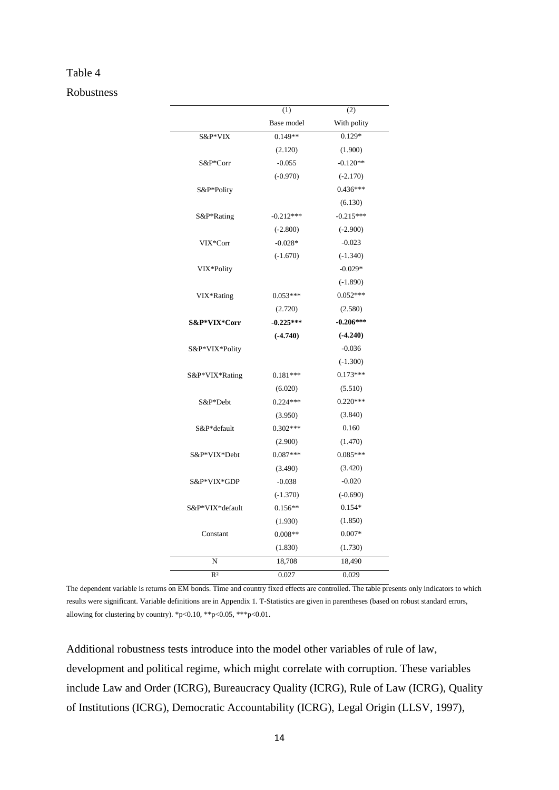#### Table 4

Robustness

|                 | (1)         | (2)         |
|-----------------|-------------|-------------|
|                 | Base model  | With polity |
| S&P*VIX         | $0.149**$   | $0.129*$    |
|                 | (2.120)     | (1.900)     |
| S&P*Corr        | $-0.055$    | $-0.120**$  |
|                 | $(-0.970)$  | $(-2.170)$  |
| S&P*Polity      |             | $0.436***$  |
|                 |             | (6.130)     |
| S&P*Rating      | $-0.212***$ | $-0.215***$ |
|                 | $(-2.800)$  | $(-2.900)$  |
| VIX*Corr        | $-0.028*$   | $-0.023$    |
|                 | $(-1.670)$  | $(-1.340)$  |
| VIX*Polity      |             | $-0.029*$   |
|                 |             | $(-1.890)$  |
| VIX*Rating      | $0.053***$  | $0.052***$  |
|                 | (2.720)     | (2.580)     |
| S&P*VIX*Corr    | $-0.225***$ | $-0.206***$ |
|                 | $(-4.740)$  | $(-4.240)$  |
| S&P*VIX*Polity  |             | $-0.036$    |
|                 |             | $(-1.300)$  |
| S&P*VIX*Rating  | $0.181***$  | $0.173***$  |
|                 | (6.020)     | (5.510)     |
| S&P*Debt        | $0.224***$  | $0.220***$  |
|                 | (3.950)     | (3.840)     |
| S&P*default     | $0.302***$  | 0.160       |
|                 | (2.900)     | (1.470)     |
| S&P*VIX*Debt    | $0.087***$  | $0.085***$  |
|                 | (3.490)     | (3.420)     |
| S&P*VIX*GDP     | $-0.038$    | $-0.020$    |
|                 | $(-1.370)$  | $(-0.690)$  |
| S&P*VIX*default | $0.156**$   | $0.154*$    |
|                 | (1.930)     | (1.850)     |
| Constant        | $0.008**$   | $0.007*$    |
|                 | (1.830)     | (1.730)     |
| N               | 18,708      | 18,490      |
| R <sup>2</sup>  | 0.027       | 0.029       |

The dependent variable is returns on EM bonds. Time and country fixed effects are controlled. The table presents only indicators to which results were significant. Variable definitions are in Appendix 1. T-Statistics are given in parentheses (based on robust standard errors, allowing for clustering by country). \*p<0.10, \*\*p<0.05, \*\*\*p<0.01.

Additional robustness tests introduce into the model other variables of rule of law, development and political regime, which might correlate with corruption. These variables include Law and Order (ICRG), Bureaucracy Quality (ICRG), Rule of Law (ICRG), Quality of Institutions (ICRG), Democratic Accountability (ICRG), Legal Origin (LLSV, 1997),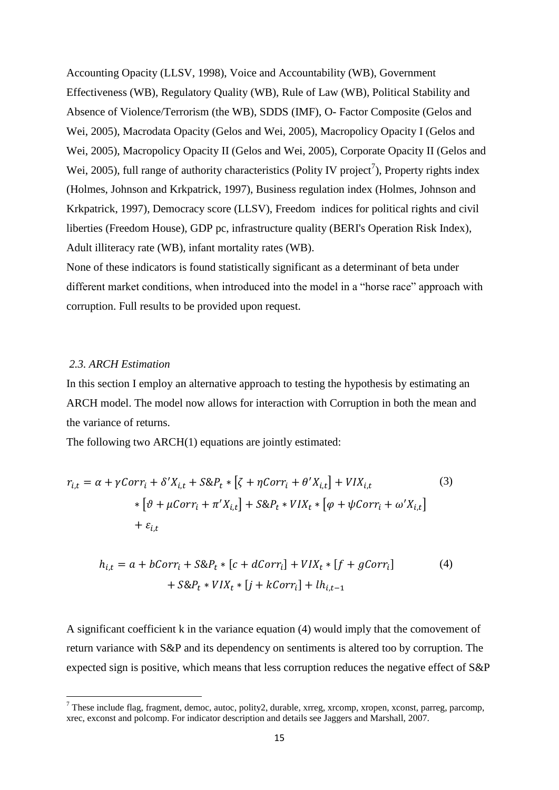Accounting Opacity (LLSV, 1998), Voice and Accountability (WB), Government Effectiveness (WB), Regulatory Quality (WB), Rule of Law (WB), Political Stability and Absence of Violence/Terrorism (the WB), SDDS (IMF), O- Factor Composite (Gelos and Wei, 2005), Macrodata Opacity (Gelos and Wei, 2005), Macropolicy Opacity I (Gelos and Wei, 2005), Macropolicy Opacity II (Gelos and Wei, 2005), Corporate Opacity II (Gelos and Wei, 2005), full range of authority characteristics (Polity IV project<sup>7</sup>), Property rights index (Holmes, Johnson and Krkpatrick, 1997), Business regulation index (Holmes, Johnson and Krkpatrick, 1997), Democracy score (LLSV), Freedom indices for political rights and civil liberties (Freedom House), GDP pc, infrastructure quality (BERI's Operation Risk Index), Adult illiteracy rate (WB), infant mortality rates (WB).

None of these indicators is found statistically significant as a determinant of beta under different market conditions, when introduced into the model in a "horse race" approach with corruption. Full results to be provided upon request.

### *2.3. ARCH Estimation*

<u>.</u>

In this section I employ an alternative approach to testing the hypothesis by estimating an ARCH model. The model now allows for interaction with Corruption in both the mean and the variance of returns.

The following two ARCH(1) equations are jointly estimated:

$$
r_{i,t} = \alpha + \gamma Corr_i + \delta' X_{i,t} + S \& P_t * [\zeta + \eta Corr_i + \theta' X_{i,t}] + VIX_{i,t}
$$
  
\n
$$
* [\vartheta + \mu Corr_i + \pi' X_{i,t}] + S \& P_t * VIX_t * [\varphi + \psi Corr_i + \omega' X_{i,t}]
$$
  
\n
$$
+ \varepsilon_{i,t}
$$
\n(3)

$$
h_{i,t} = a + bCorr_i + S\&P_t * [c + dCorr_i] + VIX_t * [f + gCorr_i]
$$
  
+
$$
S\&P_t * VIX_t * [j + kCorr_i] + lh_{i,t-1}
$$
 (4)

A significant coefficient k in the variance equation (4) would imply that the comovement of return variance with S&P and its dependency on sentiments is altered too by corruption. The expected sign is positive, which means that less corruption reduces the negative effect of S&P

<sup>7</sup> These include flag, fragment, democ, autoc, polity2, durable, xrreg, xrcomp, xropen, xconst, parreg, parcomp, xrec, exconst and polcomp. For indicator description and details see Jaggers and Marshall, 2007.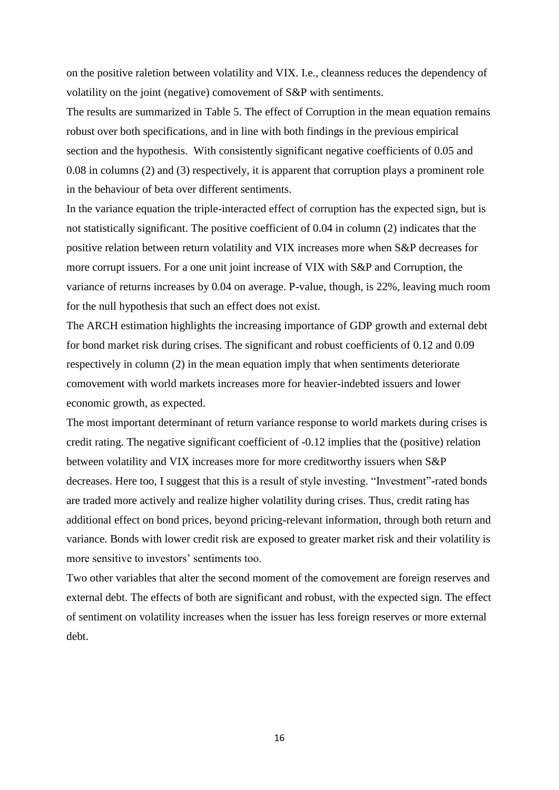on the positive raletion between volatility and VIX. I.e., cleanness reduces the dependency of volatility on the joint (negative) comovement of S&P with sentiments.

The results are summarized in Table 5. The effect of Corruption in the mean equation remains robust over both specifications, and in line with both findings in the previous empirical section and the hypothesis. With consistently significant negative coefficients of 0.05 and 0.08 in columns (2) and (3) respectively, it is apparent that corruption plays a prominent role in the behaviour of beta over different sentiments.

In the variance equation the triple-interacted effect of corruption has the expected sign, but is not statistically significant. The positive coefficient of 0.04 in column (2) indicates that the positive relation between return volatility and VIX increases more when S&P decreases for more corrupt issuers. For a one unit joint increase of VIX with S&P and Corruption, the variance of returns increases by 0.04 on average. P-value, though, is 22%, leaving much room for the null hypothesis that such an effect does not exist.

The ARCH estimation highlights the increasing importance of GDP growth and external debt for bond market risk during crises. The significant and robust coefficients of 0.12 and 0.09 respectively in column (2) in the mean equation imply that when sentiments deteriorate comovement with world markets increases more for heavier-indebted issuers and lower economic growth, as expected.

The most important determinant of return variance response to world markets during crises is credit rating. The negative significant coefficient of -0.12 implies that the (positive) relation between volatility and VIX increases more for more creditworthy issuers when S&P decreases. Here too, I suggest that this is a result of style investing. "Investment"-rated bonds are traded more actively and realize higher volatility during crises. Thus, credit rating has additional effect on bond prices, beyond pricing-relevant information, through both return and variance. Bonds with lower credit risk are exposed to greater market risk and their volatility is more sensitive to investors' sentiments too.

Two other variables that alter the second moment of the comovement are foreign reserves and external debt. The effects of both are significant and robust, with the expected sign. The effect of sentiment on volatility increases when the issuer has less foreign reserves or more external debt.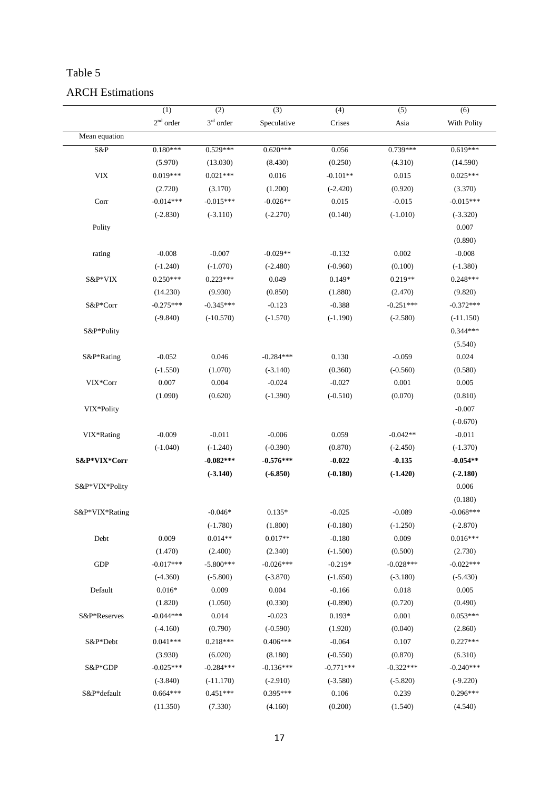## Table 5

## ARCH Estimations

|                | (1)         | (2)                | $\overline{3)}$ | (4)         | (5)         | (6)         |
|----------------|-------------|--------------------|-----------------|-------------|-------------|-------------|
|                | $2nd$ order | $3^{\rm rd}$ order | Speculative     | Crises      | Asia        | With Polity |
| Mean equation  |             |                    |                 |             |             |             |
| S&P            | $0.180***$  | $0.529***$         | $0.620***$      | 0.056       | $0.739***$  | $0.619***$  |
|                | (5.970)     | (13.030)           | (8.430)         | (0.250)     | (4.310)     | (14.590)    |
| ${\rm VIX}$    | $0.019***$  | $0.021***$         | 0.016           | $-0.101**$  | 0.015       | $0.025***$  |
|                | (2.720)     | (3.170)            | (1.200)         | $(-2.420)$  | (0.920)     | (3.370)     |
| Corr           | $-0.014***$ | $-0.015***$        | $-0.026**$      | 0.015       | $-0.015$    | $-0.015***$ |
|                | $(-2.830)$  | $(-3.110)$         | $(-2.270)$      | (0.140)     | $(-1.010)$  | $(-3.320)$  |
| Polity         |             |                    |                 |             |             | 0.007       |
|                |             |                    |                 |             |             | (0.890)     |
| rating         | $-0.008$    | $-0.007$           | $-0.029**$      | $-0.132$    | 0.002       | $-0.008$    |
|                | $(-1.240)$  | $(-1.070)$         | $(-2.480)$      | $(-0.960)$  | (0.100)     | $(-1.380)$  |
| S&P*VIX        | $0.250***$  | $0.223***$         | 0.049           | $0.149*$    | $0.219**$   | $0.248***$  |
|                | (14.230)    | (9.930)            | (0.850)         | (1.880)     | (2.470)     | (9.820)     |
| S&P*Corr       | $-0.275***$ | $-0.345***$        | $-0.123$        | $-0.388$    | $-0.251***$ | $-0.372***$ |
|                | $(-9.840)$  | $(-10.570)$        | $(-1.570)$      | $(-1.190)$  | $(-2.580)$  | $(-11.150)$ |
| S&P*Polity     |             |                    |                 |             |             | $0.344***$  |
|                |             |                    |                 |             |             | (5.540)     |
| S&P*Rating     | $-0.052$    | 0.046              | $-0.284***$     | 0.130       | $-0.059$    | 0.024       |
|                | $(-1.550)$  | (1.070)            | $(-3.140)$      | (0.360)     | $(-0.560)$  | (0.580)     |
| VIX*Corr       | 0.007       | 0.004              | $-0.024$        | $-0.027$    | 0.001       | 0.005       |
|                | (1.090)     | (0.620)            | $(-1.390)$      | $(-0.510)$  | (0.070)     | (0.810)     |
| VIX*Polity     |             |                    |                 |             |             | $-0.007$    |
|                |             |                    |                 |             |             | $(-0.670)$  |
| VIX*Rating     | $-0.009$    | $-0.011$           | $-0.006$        | 0.059       | $-0.042**$  | $-0.011$    |
|                | $(-1.040)$  | $(-1.240)$         | $(-0.390)$      | (0.870)     | $(-2.450)$  | $(-1.370)$  |
| S&P*VIX*Corr   |             | $-0.082***$        | $-0.576***$     | $-0.022$    | $-0.135$    | $-0.054**$  |
|                |             | $(-3.140)$         | $(-6.850)$      | $(-0.180)$  | $(-1.420)$  | $(-2.180)$  |
| S&P*VIX*Polity |             |                    |                 |             |             | 0.006       |
|                |             |                    |                 |             |             | (0.180)     |
| S&P*VIX*Rating |             | $-0.046*$          | $0.135*$        | $-0.025$    | $-0.089$    | $-0.068***$ |
|                |             | $(-1.780)$         | (1.800)         | $(-0.180)$  | $(-1.250)$  | $(-2.870)$  |
| Debt           | 0.009       | $0.014**$          | $0.017**$       | $-0.180$    | 0.009       | $0.016***$  |
|                | (1.470)     | (2.400)            | (2.340)         | $(-1.500)$  | (0.500)     | (2.730)     |
| <b>GDP</b>     | $-0.017***$ | $-5.800***$        | $-0.026***$     | $-0.219*$   | $-0.028***$ | $-0.022***$ |
|                | $(-4.360)$  | $(-5.800)$         | $(-3.870)$      | $(-1.650)$  | $(-3.180)$  | $(-5.430)$  |
| Default        | $0.016*$    | 0.009              | 0.004           | $-0.166$    | 0.018       | 0.005       |
|                | (1.820)     | (1.050)            | (0.330)         | $(-0.890)$  | (0.720)     | (0.490)     |
| S&P*Reserves   | $-0.044***$ | 0.014              | $-0.023$        | $0.193*$    | $0.001\,$   | $0.053***$  |
|                | $(-4.160)$  | (0.790)            | $(-0.590)$      | (1.920)     | (0.040)     | (2.860)     |
| S&P*Debt       | $0.041***$  | $0.218***$         | $0.406***$      | $-0.064$    | 0.107       | $0.227***$  |
|                | (3.930)     | (6.020)            | (8.180)         | $(-0.550)$  | (0.870)     | (6.310)     |
| S&P*GDP        | $-0.025***$ | $-0.284***$        | $-0.136***$     | $-0.771***$ | $-0.322***$ | $-0.240***$ |
|                | $(-3.840)$  | $(-11.170)$        | $(-2.910)$      | $(-3.580)$  | $(-5.820)$  | $(-9.220)$  |
| S&P*default    | $0.664***$  | $0.451***$         | 0.395***        | 0.106       | 0.239       | $0.296***$  |
|                | (11.350)    | (7.330)            | (4.160)         | (0.200)     | (1.540)     | (4.540)     |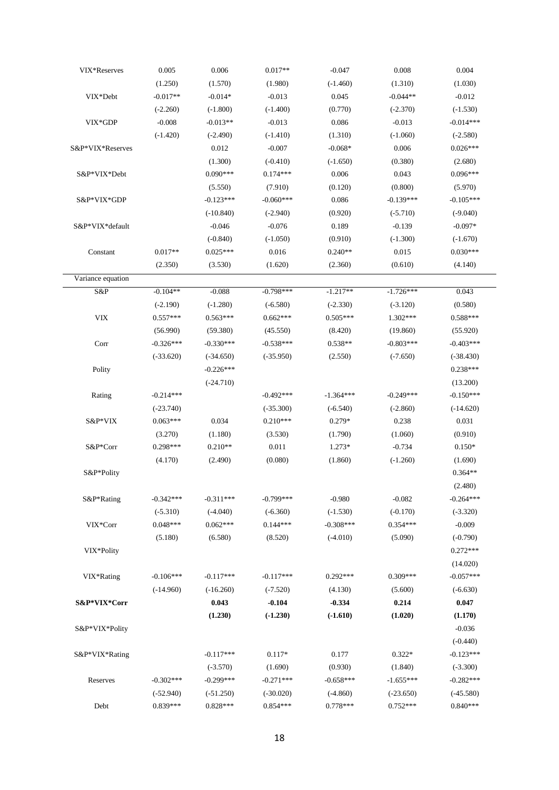| VIX*Reserves      | 0.005       | 0.006       | $0.017**$   | $-0.047$    | 0.008       | 0.004       |
|-------------------|-------------|-------------|-------------|-------------|-------------|-------------|
|                   | (1.250)     | (1.570)     | (1.980)     | $(-1.460)$  | (1.310)     | (1.030)     |
| VIX*Debt          | $-0.017**$  | $-0.014*$   | $-0.013$    | 0.045       | $-0.044**$  | $-0.012$    |
|                   | $(-2.260)$  | $(-1.800)$  | $(-1.400)$  | (0.770)     | $(-2.370)$  | $(-1.530)$  |
| VIX*GDP           | $-0.008$    | $-0.013**$  | $-0.013$    | 0.086       | $-0.013$    | $-0.014***$ |
|                   | $(-1.420)$  | $(-2.490)$  | $(-1.410)$  | (1.310)     | $(-1.060)$  | $(-2.580)$  |
| S&P*VIX*Reserves  |             | 0.012       | $-0.007$    | $-0.068*$   | 0.006       | $0.026***$  |
|                   |             | (1.300)     | $(-0.410)$  | $(-1.650)$  | (0.380)     | (2.680)     |
| S&P*VIX*Debt      |             | $0.090***$  | $0.174***$  | 0.006       | 0.043       | $0.096***$  |
|                   |             | (5.550)     | (7.910)     | (0.120)     | (0.800)     | (5.970)     |
| S&P*VIX*GDP       |             | $-0.123***$ | $-0.060***$ | 0.086       | $-0.139***$ | $-0.105***$ |
|                   |             | $(-10.840)$ | $(-2.940)$  | (0.920)     | $(-5.710)$  | $(-9.040)$  |
| S&P*VIX*default   |             | $-0.046$    | $-0.076$    | 0.189       | $-0.139$    | $-0.097*$   |
|                   |             | $(-0.840)$  | $(-1.050)$  | (0.910)     | $(-1.300)$  | $(-1.670)$  |
| Constant          | $0.017**$   | $0.025***$  | 0.016       | $0.240**$   | 0.015       | $0.030***$  |
|                   | (2.350)     | (3.530)     | (1.620)     | (2.360)     | (0.610)     | (4.140)     |
| Variance equation |             |             |             |             |             |             |
| S&P               | $-0.104**$  | $-0.088$    | $-0.798***$ | $-1.217**$  | $-1.726***$ | 0.043       |
|                   | $(-2.190)$  | $(-1.280)$  | $(-6.580)$  | $(-2.330)$  | $(-3.120)$  | (0.580)     |
| ${\rm VIX}$       | $0.557***$  | $0.563***$  | $0.662***$  | $0.505***$  | 1.302***    | $0.588***$  |
|                   | (56.990)    | (59.380)    | (45.550)    | (8.420)     | (19.860)    | (55.920)    |
| Corr              | $-0.326***$ | $-0.330***$ | $-0.538***$ | $0.538**$   | $-0.803***$ | $-0.403***$ |
|                   | $(-33.620)$ | $(-34.650)$ | $(-35.950)$ | (2.550)     | $(-7.650)$  | $(-38.430)$ |
| Polity            |             | $-0.226***$ |             |             |             | $0.238***$  |
|                   |             | $(-24.710)$ |             |             |             | (13.200)    |
| Rating            | $-0.214***$ |             | $-0.492***$ | $-1.364***$ | $-0.249***$ | $-0.150***$ |
|                   | $(-23.740)$ |             | $(-35.300)$ | $(-6.540)$  | $(-2.860)$  | $(-14.620)$ |
| S&P*VIX           | $0.063***$  | 0.034       | $0.210***$  | $0.279*$    | 0.238       | 0.031       |
|                   | (3.270)     | (1.180)     | (3.530)     | (1.790)     | (1.060)     | (0.910)     |
| S&P*Corr          | $0.298***$  | $0.210**$   | 0.011       | $1.273*$    | $-0.734$    | $0.150*$    |
|                   | (4.170)     | (2.490)     | (0.080)     | (1.860)     | $(-1.260)$  | (1.690)     |
| S&P*Polity        |             |             |             |             |             | $0.364**$   |
|                   |             |             |             |             |             | (2.480)     |
| S&P*Rating        | $-0.342***$ | $-0.311***$ | $-0.799***$ | $-0.980$    | $-0.082$    | $-0.264***$ |
|                   | $(-5.310)$  | $(-4.040)$  | $(-6.360)$  | $(-1.530)$  | $(-0.170)$  | $(-3.320)$  |
| VIX*Corr          | $0.048***$  | $0.062***$  | $0.144***$  | $-0.308***$ | $0.354***$  | $-0.009$    |
|                   | (5.180)     | (6.580)     | (8.520)     | $(-4.010)$  | (5.090)     | $(-0.790)$  |
| VIX*Polity        |             |             |             |             |             | $0.272***$  |
|                   |             |             |             |             |             | (14.020)    |
| VIX*Rating        | $-0.106***$ | $-0.117***$ | $-0.117***$ | $0.292***$  | $0.309***$  | $-0.057***$ |
|                   | $(-14.960)$ | $(-16.260)$ | $(-7.520)$  | (4.130)     | (5.600)     | $(-6.630)$  |
| S&P*VIX*Corr      |             | 0.043       | $-0.104$    | $-0.334$    | 0.214       | 0.047       |
|                   |             | (1.230)     | $(-1.230)$  | $(-1.610)$  | (1.020)     | (1.170)     |
| S&P*VIX*Polity    |             |             |             |             |             | $-0.036$    |
|                   |             |             |             |             |             | $(-0.440)$  |
| S&P*VIX*Rating    |             | $-0.117***$ | $0.117*$    | 0.177       | $0.322*$    | $-0.123***$ |
|                   |             | $(-3.570)$  | (1.690)     | (0.930)     | (1.840)     | $(-3.300)$  |
| Reserves          | $-0.302***$ | $-0.299***$ | $-0.271***$ | $-0.658***$ | $-1.655***$ | $-0.282***$ |
|                   | $(-52.940)$ | $(-51.250)$ | $(-30.020)$ | $(-4.860)$  | $(-23.650)$ | $(-45.580)$ |
| Debt              | $0.839***$  | $0.828***$  | $0.854***$  | $0.778***$  | $0.752***$  | $0.840***$  |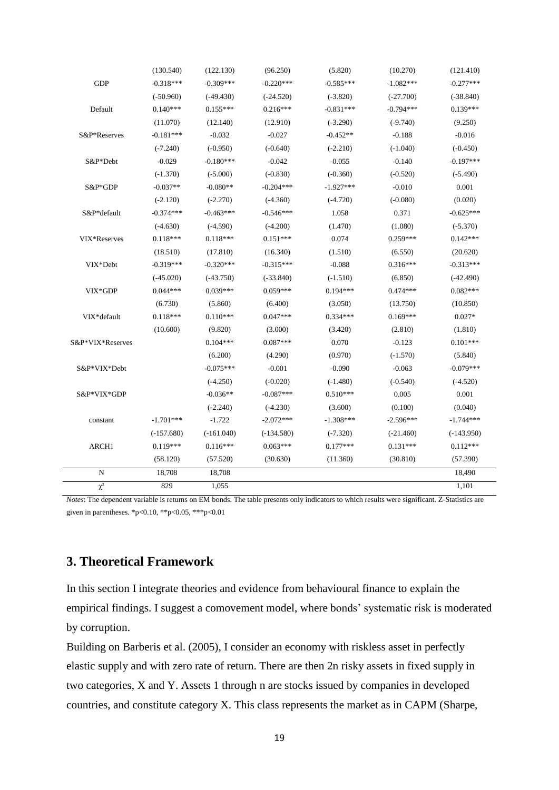|                  | (130.540)    | (122.130)    | (96.250)     | (5.820)     | (10.270)    | (121.410)    |  |
|------------------|--------------|--------------|--------------|-------------|-------------|--------------|--|
| <b>GDP</b>       | $-0.318***$  | $-0.309***$  | $-0.220***$  | $-0.585***$ | $-1.082***$ | $-0.277***$  |  |
|                  | $(-50.960)$  | $(-49.430)$  | $(-24.520)$  | $(-3.820)$  | $(-27.700)$ | $(-38.840)$  |  |
| Default          | $0.140***$   | $0.155***$   | $0.216***$   | $-0.831***$ | $-0.794***$ | $0.139***$   |  |
|                  | (11.070)     | (12.140)     | (12.910)     | $(-3.290)$  | $(-9.740)$  | (9.250)      |  |
| S&P*Reserves     | $-0.181***$  | $-0.032$     | $-0.027$     | $-0.452**$  | $-0.188$    | $-0.016$     |  |
|                  | $(-7.240)$   | $(-0.950)$   | $(-0.640)$   | $(-2.210)$  | $(-1.040)$  | $(-0.450)$   |  |
| S&P*Debt         | $-0.029$     | $-0.180***$  | $-0.042$     | $-0.055$    | $-0.140$    | $-0.197***$  |  |
|                  | $(-1.370)$   | $(-5.000)$   | $(-0.830)$   | $(-0.360)$  | $(-0.520)$  | $(-5.490)$   |  |
| S&P*GDP          | $-0.037**$   | $-0.080**$   | $-0.204***$  | $-1.927***$ | $-0.010$    | 0.001        |  |
|                  | $(-2.120)$   | $(-2.270)$   | $(-4.360)$   | $(-4.720)$  | $(-0.080)$  | (0.020)      |  |
| S&P*default      | $-0.374***$  | $-0.463***$  | $-0.546***$  | 1.058       | 0.371       | $-0.625***$  |  |
|                  | $(-4.630)$   | $(-4.590)$   | $(-4.200)$   | (1.470)     | (1.080)     | $(-5.370)$   |  |
| VIX*Reserves     | $0.118***$   | $0.118***$   | $0.151***$   | 0.074       | $0.259***$  | $0.142***$   |  |
|                  | (18.510)     | (17.810)     | (16.340)     | (1.510)     | (6.550)     | (20.620)     |  |
| VIX*Debt         | $-0.319***$  | $-0.320***$  | $-0.315***$  | $-0.088$    | $0.316***$  | $-0.313***$  |  |
|                  | $(-45.020)$  | $(-43.750)$  | $(-33.840)$  | $(-1.510)$  | (6.850)     | $(-42.490)$  |  |
| VIX*GDP          | $0.044***$   | $0.039***$   | $0.059***$   | $0.194***$  | $0.474***$  | $0.082***$   |  |
|                  | (6.730)      | (5.860)      | (6.400)      | (3.050)     | (13.750)    | (10.850)     |  |
| VIX*default      | $0.118***$   | $0.110***$   | $0.047***$   | $0.334***$  | $0.169***$  | $0.027*$     |  |
|                  | (10.600)     | (9.820)      | (3.000)      | (3.420)     | (2.810)     | (1.810)      |  |
| S&P*VIX*Reserves |              | $0.104***$   | $0.087***$   | 0.070       | $-0.123$    | $0.101***$   |  |
|                  |              | (6.200)      | (4.290)      | (0.970)     | $(-1.570)$  | (5.840)      |  |
| S&P*VIX*Debt     |              | $-0.075***$  | $-0.001$     | $-0.090$    | $-0.063$    | $-0.079***$  |  |
|                  |              | $(-4.250)$   | $(-0.020)$   | $(-1.480)$  | $(-0.540)$  | $(-4.520)$   |  |
| S&P*VIX*GDP      |              | $-0.036**$   | $-0.087***$  | $0.510***$  | 0.005       | 0.001        |  |
|                  |              | $(-2.240)$   | $(-4.230)$   | (3.600)     | (0.100)     | (0.040)      |  |
| constant         | $-1.701***$  | $-1.722$     | $-2.072***$  | $-1.308***$ | $-2.596***$ | $-1.744***$  |  |
|                  | $(-157.680)$ | $(-161.040)$ | $(-134.580)$ | $(-7.320)$  | $(-21.460)$ | $(-143.950)$ |  |
| ARCH1            | $0.119***$   | $0.116***$   | $0.063***$   | $0.177***$  | $0.131***$  | $0.112***$   |  |
|                  | (58.120)     | (57.520)     | (30.630)     | (11.360)    | (30.810)    | (57.390)     |  |
| N                | 18,708       | 18,708       |              |             |             | 18,490       |  |
| $\chi^2$         | 829          | 1.055        |              |             |             | 1,101        |  |
|                  |              |              |              |             |             |              |  |

*Notes*: The dependent variable is returns on EM bonds. The table presents only indicators to which results were significant. Z-Statistics are given in parentheses. \*p<0.10, \*\*p<0.05, \*\*\*p<0.01

## **3. Theoretical Framework**

In this section I integrate theories and evidence from behavioural finance to explain the empirical findings. I suggest a comovement model, where bonds' systematic risk is moderated by corruption.

Building on Barberis et al. (2005), I consider an economy with riskless asset in perfectly elastic supply and with zero rate of return. There are then 2n risky assets in fixed supply in two categories, X and Y. Assets 1 through n are stocks issued by companies in developed countries, and constitute category X. This class represents the market as in CAPM (Sharpe,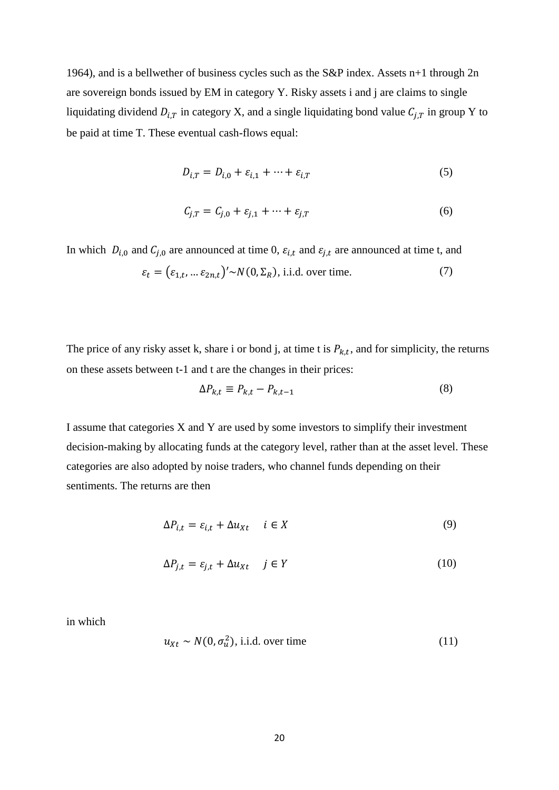1964), and is a bellwether of business cycles such as the S&P index. Assets n+1 through 2n are sovereign bonds issued by EM in category Y. Risky assets i and j are claims to single liquidating dividend  $D_{i,T}$  in category X, and a single liquidating bond value  $C_{j,T}$  in group Y to be paid at time T. These eventual cash-flows equal:

$$
D_{i,T} = D_{i,0} + \varepsilon_{i,1} + \dots + \varepsilon_{i,T}
$$
\n<sup>(5)</sup>

$$
C_{j,T} = C_{j,0} + \varepsilon_{j,1} + \dots + \varepsilon_{j,T}
$$
 (6)

In which  $D_{i,0}$  and  $C_{j,0}$  are announced at time 0,  $\varepsilon_{i,t}$  and  $\varepsilon_{j,t}$  are announced at time t, and  $\varepsilon_t = (\varepsilon_{1,t}, ... \varepsilon_{2n,t})' \sim N(0, \Sigma_R)$ , i.i.d. over time. (7)

The price of any risky asset k, share i or bond j, at time t is  $P_{k,t}$ , and for simplicity, the returns on these assets between t-1 and t are the changes in their prices:

$$
\Delta P_{k,t} \equiv P_{k,t} - P_{k,t-1} \tag{8}
$$

I assume that categories X and Y are used by some investors to simplify their investment decision-making by allocating funds at the category level, rather than at the asset level. These categories are also adopted by noise traders, who channel funds depending on their sentiments. The returns are then

$$
\Delta P_{i,t} = \varepsilon_{i,t} + \Delta u_{Xt} \quad i \in X \tag{9}
$$

$$
\Delta P_{j,t} = \varepsilon_{j,t} + \Delta u_{Xt} \quad j \in Y \tag{10}
$$

in which

$$
u_{Xt} \sim N(0, \sigma_u^2), \text{ i.i.d. over time}
$$
 (11)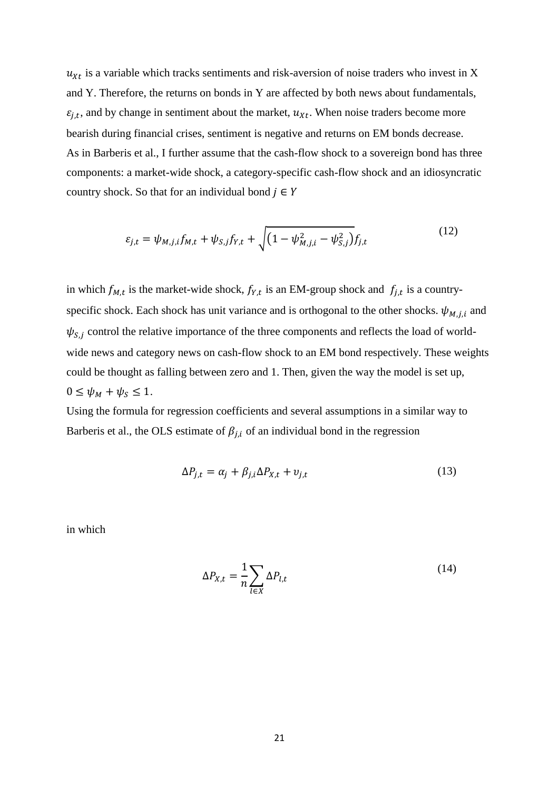$u_{xt}$  is a variable which tracks sentiments and risk-aversion of noise traders who invest in X and Y. Therefore, the returns on bonds in Y are affected by both news about fundamentals,  $\varepsilon_{j,t}$ , and by change in sentiment about the market,  $u_{xt}$ . When noise traders become more bearish during financial crises, sentiment is negative and returns on EM bonds decrease. As in Barberis et al., I further assume that the cash-flow shock to a sovereign bond has three components: a market-wide shock, a category-specific cash-flow shock and an idiosyncratic country shock. So that for an individual bond  $j \in Y$ 

$$
\varepsilon_{j,t} = \psi_{M,j,i} f_{M,t} + \psi_{S,j} f_{Y,t} + \sqrt{(1 - \psi_{M,j,i}^2 - \psi_{S,j}^2)} f_{j,t}
$$
(12)

in which  $f_{M,t}$  is the market-wide shock,  $f_{Y,t}$  is an EM-group shock and  $f_{j,t}$  is a countryspecific shock. Each shock has unit variance and is orthogonal to the other shocks.  $\psi_{M,j,i}$  and  $\psi_{S,j}$  control the relative importance of the three components and reflects the load of worldwide news and category news on cash-flow shock to an EM bond respectively. These weights could be thought as falling between zero and 1. Then, given the way the model is set up,  $0 \leq \psi_M + \psi_S \leq 1$ .

Using the formula for regression coefficients and several assumptions in a similar way to Barberis et al., the OLS estimate of  $\beta_{j,i}$  of an individual bond in the regression

$$
\Delta P_{j,t} = \alpha_j + \beta_{j,i} \Delta P_{X,t} + v_{j,t} \tag{13}
$$

in which

$$
\Delta P_{X,t} = \frac{1}{n} \sum_{l \in X} \Delta P_{l,t} \tag{14}
$$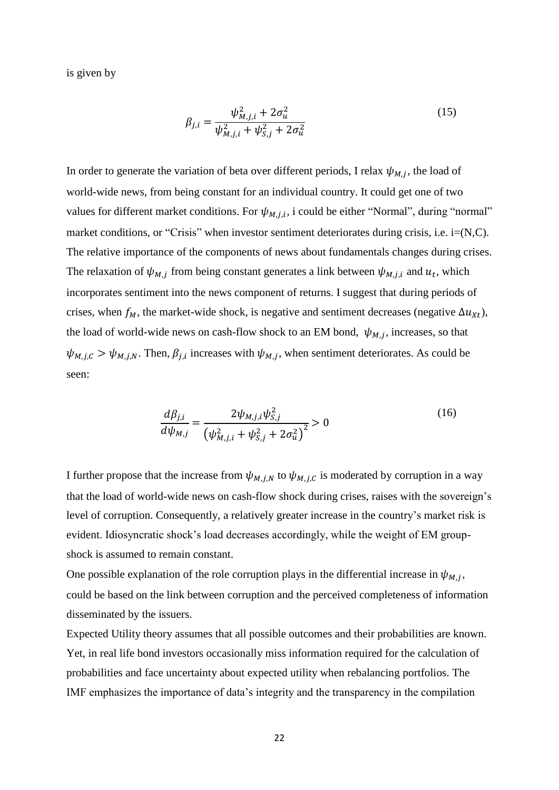is given by

$$
\beta_{j,i} = \frac{\psi_{M,j,i}^2 + 2\sigma_u^2}{\psi_{M,j,i}^2 + \psi_{S,j}^2 + 2\sigma_u^2}
$$
\n(15)

In order to generate the variation of beta over different periods, I relax  $\psi_{M,j}$ , the load of world-wide news, from being constant for an individual country. It could get one of two values for different market conditions. For  $\psi_{M,j,i}$ , i could be either "Normal", during "normal" market conditions, or "Crisis" when investor sentiment deteriorates during crisis, i.e. i=(N,C). The relative importance of the components of news about fundamentals changes during crises. The relaxation of  $\psi_{M,j}$  from being constant generates a link between  $\psi_{M,j,i}$  and  $u_t$ , which incorporates sentiment into the news component of returns. I suggest that during periods of crises, when  $f_M$ , the market-wide shock, is negative and sentiment decreases (negative  $\Delta u_{\chi}$ ), the load of world-wide news on cash-flow shock to an EM bond,  $\psi_{M,j}$ , increases, so that  $\psi_{M,j,c} > \psi_{M,j,N}$ . Then,  $\beta_{j,i}$  increases with  $\psi_{M,j}$ , when sentiment deteriorates. As could be seen:

$$
\frac{d\beta_{j,i}}{d\psi_{M,j}} = \frac{2\psi_{M,j,i}\psi_{S,j}^2}{\left(\psi_{M,j,i}^2 + \psi_{S,j}^2 + 2\sigma_u^2\right)^2} > 0
$$
\n(16)

I further propose that the increase from  $\psi_{M,i,N}$  to  $\psi_{M,i,C}$  is moderated by corruption in a way that the load of world-wide news on cash-flow shock during crises, raises with the sovereign's level of corruption. Consequently, a relatively greater increase in the country's market risk is evident. Idiosyncratic shock's load decreases accordingly, while the weight of EM groupshock is assumed to remain constant.

One possible explanation of the role corruption plays in the differential increase in  $\psi_{M,j}$ , could be based on the link between corruption and the perceived completeness of information disseminated by the issuers.

Expected Utility theory assumes that all possible outcomes and their probabilities are known. Yet, in real life bond investors occasionally miss information required for the calculation of probabilities and face uncertainty about expected utility when rebalancing portfolios. The IMF emphasizes the importance of data's integrity and the transparency in the compilation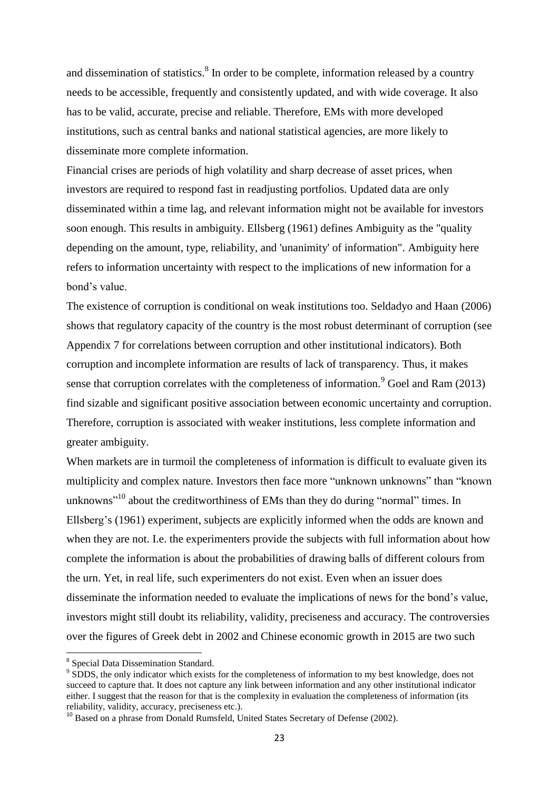and dissemination of statistics. $8 \text{ In order to be complete, information released by a country}$ needs to be accessible, frequently and consistently updated, and with wide coverage. It also has to be valid, accurate, precise and reliable. Therefore, EMs with more developed institutions, such as central banks and national statistical agencies, are more likely to disseminate more complete information.

Financial crises are periods of high volatility and sharp decrease of asset prices, when investors are required to respond fast in readjusting portfolios. Updated data are only disseminated within a time lag, and relevant information might not be available for investors soon enough. This results in ambiguity. Ellsberg (1961) defines Ambiguity as the "quality depending on the amount, type, reliability, and 'unanimity' of information". Ambiguity here refers to information uncertainty with respect to the implications of new information for a bond's value.

The existence of corruption is conditional on weak institutions too. Seldadyo and Haan (2006) shows that regulatory capacity of the country is the most robust determinant of corruption (see Appendix 7 for correlations between corruption and other institutional indicators). Both corruption and incomplete information are results of lack of transparency. Thus, it makes sense that corruption correlates with the completeness of information.<sup>9</sup> Goel and Ram (2013) find sizable and significant positive association between economic uncertainty and corruption. Therefore, corruption is associated with weaker institutions, less complete information and greater ambiguity.

When markets are in turmoil the completeness of information is difficult to evaluate given its multiplicity and complex nature. Investors then face more "unknown unknowns" than "known unknowns"<sup>10</sup> about the creditworthiness of EMs than they do during "normal" times. In Ellsberg's (1961) experiment, subjects are explicitly informed when the odds are known and when they are not. I.e. the experimenters provide the subjects with full information about how complete the information is about the probabilities of drawing balls of different colours from the urn. Yet, in real life, such experimenters do not exist. Even when an issuer does disseminate the information needed to evaluate the implications of news for the bond's value, investors might still doubt its reliability, validity, preciseness and accuracy. The controversies over the figures of Greek debt in 2002 and Chinese economic growth in 2015 are two such

<sup>8</sup> Special Data Dissemination Standard.

<sup>&</sup>lt;sup>9</sup> SDDS, the only indicator which exists for the completeness of information to my best knowledge, does not succeed to capture that. It does not capture any link between information and any other institutional indicator either. I suggest that the reason for that is the complexity in evaluation the completeness of information (its reliability, validity, accuracy, preciseness etc.).

<sup>&</sup>lt;sup>10</sup> Based on a phrase from Donald Rumsfeld, United States Secretary of Defense (2002).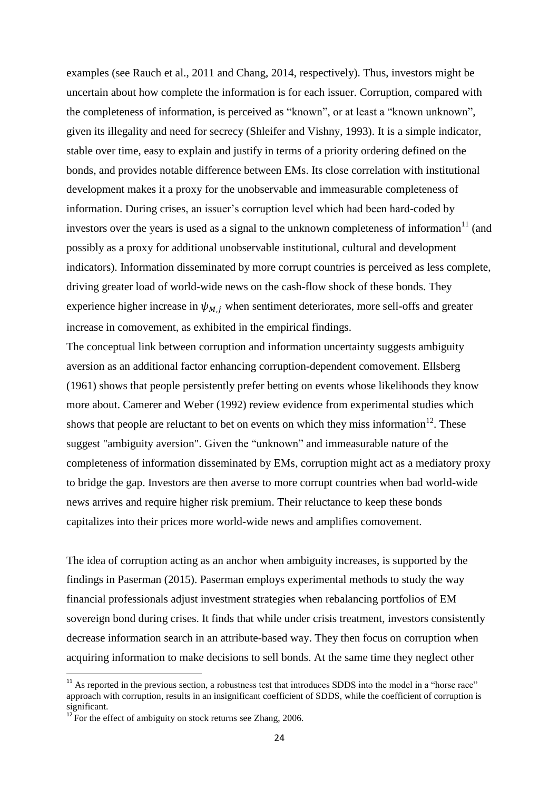examples (see Rauch et al., 2011 and Chang, 2014, respectively). Thus, investors might be uncertain about how complete the information is for each issuer. Corruption, compared with the completeness of information, is perceived as "known", or at least a "known unknown", given its illegality and need for secrecy (Shleifer and Vishny, 1993). It is a simple indicator, stable over time, easy to explain and justify in terms of a priority ordering defined on the bonds, and provides notable difference between EMs. Its close correlation with institutional development makes it a proxy for the unobservable and immeasurable completeness of information. During crises, an issuer's corruption level which had been hard-coded by investors over the years is used as a signal to the unknown completeness of information $11$  (and possibly as a proxy for additional unobservable institutional, cultural and development indicators). Information disseminated by more corrupt countries is perceived as less complete, driving greater load of world-wide news on the cash-flow shock of these bonds. They experience higher increase in  $\psi_{M,i}$  when sentiment deteriorates, more sell-offs and greater increase in comovement, as exhibited in the empirical findings.

The conceptual link between corruption and information uncertainty suggests ambiguity aversion as an additional factor enhancing corruption-dependent comovement. Ellsberg (1961) shows that people persistently prefer betting on events whose likelihoods they know more about. Camerer and Weber (1992) review evidence from experimental studies which shows that people are reluctant to bet on events on which they miss information<sup>12</sup>. These suggest "ambiguity aversion". Given the "unknown" and immeasurable nature of the completeness of information disseminated by EMs, corruption might act as a mediatory proxy to bridge the gap. Investors are then averse to more corrupt countries when bad world-wide news arrives and require higher risk premium. Their reluctance to keep these bonds capitalizes into their prices more world-wide news and amplifies comovement.

The idea of corruption acting as an anchor when ambiguity increases, is supported by the findings in Paserman (2015). Paserman employs experimental methods to study the way financial professionals adjust investment strategies when rebalancing portfolios of EM sovereign bond during crises. It finds that while under crisis treatment, investors consistently decrease information search in an attribute-based way. They then focus on corruption when acquiring information to make decisions to sell bonds. At the same time they neglect other

 $11$  As reported in the previous section, a robustness test that introduces SDDS into the model in a "horse race" approach with corruption, results in an insignificant coefficient of SDDS, while the coefficient of corruption is significant.

 $^{12}$  For the effect of ambiguity on stock returns see Zhang, 2006.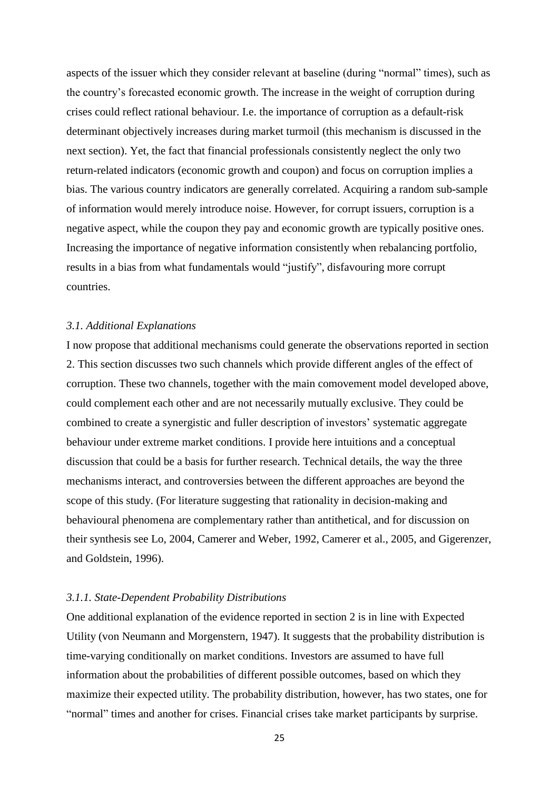aspects of the issuer which they consider relevant at baseline (during "normal" times), such as the country's forecasted economic growth. The increase in the weight of corruption during crises could reflect rational behaviour. I.e. the importance of corruption as a default-risk determinant objectively increases during market turmoil (this mechanism is discussed in the next section). Yet, the fact that financial professionals consistently neglect the only two return-related indicators (economic growth and coupon) and focus on corruption implies a bias. The various country indicators are generally correlated. Acquiring a random sub-sample of information would merely introduce noise. However, for corrupt issuers, corruption is a negative aspect, while the coupon they pay and economic growth are typically positive ones. Increasing the importance of negative information consistently when rebalancing portfolio, results in a bias from what fundamentals would "justify", disfavouring more corrupt countries.

#### *3.1. Additional Explanations*

I now propose that additional mechanisms could generate the observations reported in section 2. This section discusses two such channels which provide different angles of the effect of corruption. These two channels, together with the main comovement model developed above, could complement each other and are not necessarily mutually exclusive. They could be combined to create a synergistic and fuller description of investors' systematic aggregate behaviour under extreme market conditions. I provide here intuitions and a conceptual discussion that could be a basis for further research. Technical details, the way the three mechanisms interact, and controversies between the different approaches are beyond the scope of this study. (For literature suggesting that rationality in decision-making and behavioural phenomena are complementary rather than antithetical, and for discussion on their synthesis see Lo, 2004, Camerer and Weber, 1992, Camerer et al., 2005, and Gigerenzer, and Goldstein, 1996).

#### *3.1.1. State-Dependent Probability Distributions*

One additional explanation of the evidence reported in section 2 is in line with Expected Utility (von Neumann and Morgenstern, 1947). It suggests that the probability distribution is time-varying conditionally on market conditions. Investors are assumed to have full information about the probabilities of different possible outcomes, based on which they maximize their expected utility. The probability distribution, however, has two states, one for "normal" times and another for crises. Financial crises take market participants by surprise.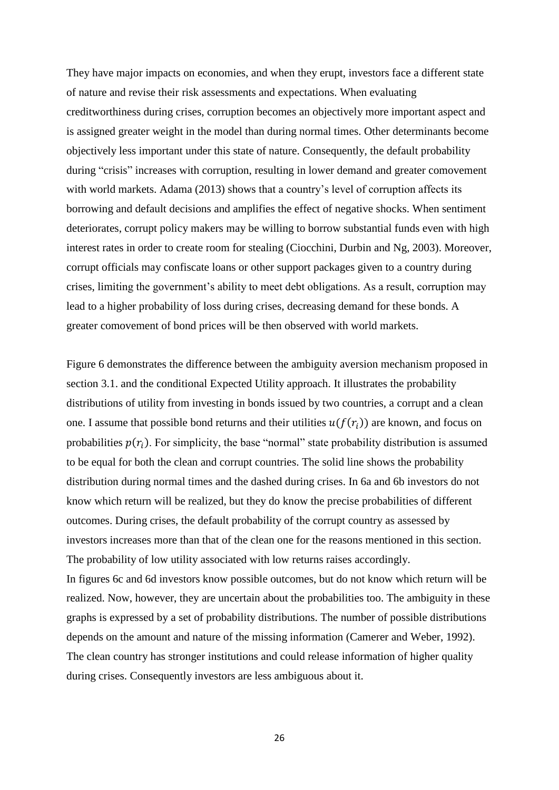They have major impacts on economies, and when they erupt, investors face a different state of nature and revise their risk assessments and expectations. When evaluating creditworthiness during crises, corruption becomes an objectively more important aspect and is assigned greater weight in the model than during normal times. Other determinants become objectively less important under this state of nature. Consequently, the default probability during "crisis" increases with corruption, resulting in lower demand and greater comovement with world markets. Adama (2013) shows that a country's level of corruption affects its borrowing and default decisions and amplifies the effect of negative shocks. When sentiment deteriorates, corrupt policy makers may be willing to borrow substantial funds even with high interest rates in order to create room for stealing (Ciocchini, Durbin and Ng, 2003). Moreover, corrupt officials may confiscate loans or other support packages given to a country during crises, limiting the government's ability to meet debt obligations. As a result, corruption may lead to a higher probability of loss during crises, decreasing demand for these bonds. A greater comovement of bond prices will be then observed with world markets.

Figure 6 demonstrates the difference between the ambiguity aversion mechanism proposed in section 3.1. and the conditional Expected Utility approach. It illustrates the probability distributions of utility from investing in bonds issued by two countries, a corrupt and a clean one. I assume that possible bond returns and their utilities  $u(f(r_i))$  are known, and focus on probabilities  $p(r_i)$ . For simplicity, the base "normal" state probability distribution is assumed to be equal for both the clean and corrupt countries. The solid line shows the probability distribution during normal times and the dashed during crises. In 6a and 6b investors do not know which return will be realized, but they do know the precise probabilities of different outcomes. During crises, the default probability of the corrupt country as assessed by investors increases more than that of the clean one for the reasons mentioned in this section. The probability of low utility associated with low returns raises accordingly. In figures 6c and 6d investors know possible outcomes, but do not know which return will be realized. Now, however, they are uncertain about the probabilities too. The ambiguity in these graphs is expressed by a set of probability distributions. The number of possible distributions depends on the amount and nature of the missing information (Camerer and Weber, 1992).

The clean country has stronger institutions and could release information of higher quality during crises. Consequently investors are less ambiguous about it.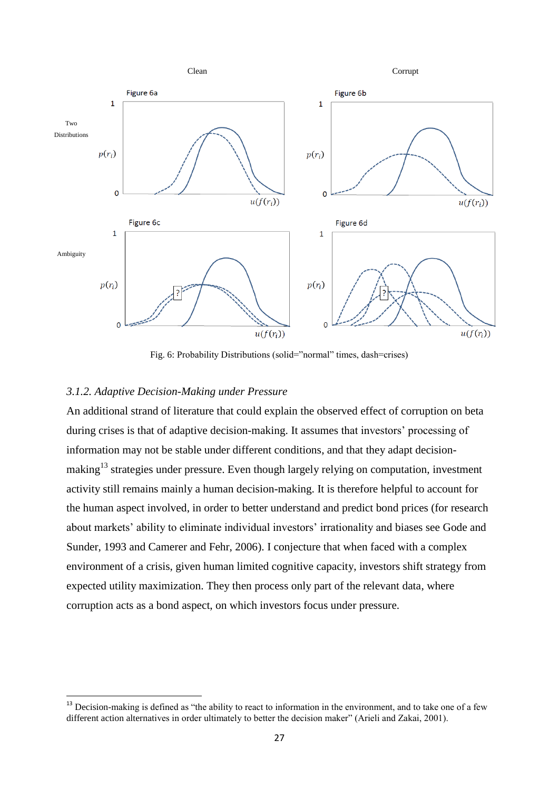

Fig. 6: Probability Distributions (solid="normal" times, dash=crises)

#### *3.1.2. Adaptive Decision-Making under Pressure*

1

An additional strand of literature that could explain the observed effect of corruption on beta during crises is that of adaptive decision-making. It assumes that investors' processing of information may not be stable under different conditions, and that they adapt decisionmaking<sup>13</sup> strategies under pressure. Even though largely relying on computation, investment activity still remains mainly a human decision-making. It is therefore helpful to account for the human aspect involved, in order to better understand and predict bond prices (for research about markets' ability to eliminate individual investors' irrationality and biases see Gode and Sunder, 1993 and Camerer and Fehr, 2006). I conjecture that when faced with a complex environment of a crisis, given human limited cognitive capacity, investors shift strategy from expected utility maximization. They then process only part of the relevant data, where corruption acts as a bond aspect, on which investors focus under pressure.

<sup>&</sup>lt;sup>13</sup> Decision-making is defined as "the ability to react to information in the environment, and to take one of a few different action alternatives in order ultimately to better the decision maker" (Arieli and Zakai, 2001).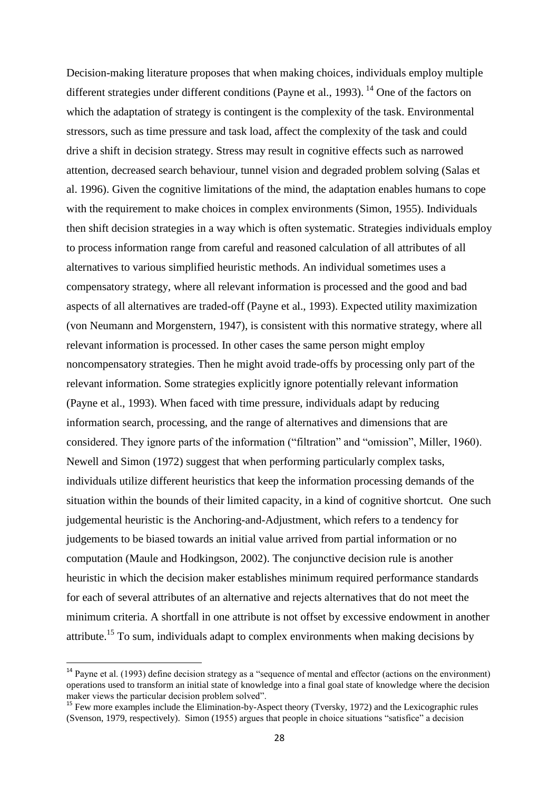Decision-making literature proposes that when making choices, individuals employ multiple different strategies under different conditions (Payne et al., 1993).<sup>14</sup> One of the factors on which the adaptation of strategy is contingent is the complexity of the task. Environmental stressors, such as time pressure and task load, affect the complexity of the task and could drive a shift in decision strategy. Stress may result in cognitive effects such as narrowed attention, decreased search behaviour, tunnel vision and degraded problem solving (Salas et al. 1996). Given the cognitive limitations of the mind, the adaptation enables humans to cope with the requirement to make choices in complex environments (Simon, 1955). Individuals then shift decision strategies in a way which is often systematic. Strategies individuals employ to process information range from careful and reasoned calculation of all attributes of all alternatives to various simplified heuristic methods. An individual sometimes uses a compensatory strategy, where all relevant information is processed and the good and bad aspects of all alternatives are traded-off (Payne et al., 1993). Expected utility maximization (von Neumann and Morgenstern, 1947), is consistent with this normative strategy, where all relevant information is processed. In other cases the same person might employ noncompensatory strategies. Then he might avoid trade-offs by processing only part of the relevant information. Some strategies explicitly ignore potentially relevant information (Payne et al., 1993). When faced with time pressure, individuals adapt by reducing information search, processing, and the range of alternatives and dimensions that are considered. They ignore parts of the information ("filtration" and "omission", Miller, 1960). Newell and Simon (1972) suggest that when performing particularly complex tasks, individuals utilize different heuristics that keep the information processing demands of the situation within the bounds of their limited capacity, in a kind of cognitive shortcut. One such judgemental heuristic is the Anchoring-and-Adjustment, which refers to a tendency for judgements to be biased towards an initial value arrived from partial information or no computation (Maule and Hodkingson, 2002). The conjunctive decision rule is another heuristic in which the decision maker establishes minimum required performance standards for each of several attributes of an alternative and rejects alternatives that do not meet the minimum criteria. A shortfall in one attribute is not offset by excessive endowment in another attribute.<sup>15</sup> To sum, individuals adapt to complex environments when making decisions by

<sup>&</sup>lt;sup>14</sup> Payne et al. (1993) define decision strategy as a "sequence of mental and effector (actions on the environment) operations used to transform an initial state of knowledge into a final goal state of knowledge where the decision maker views the particular decision problem solved".

<sup>&</sup>lt;sup>15</sup> Few more examples include the Elimination-by-Aspect theory (Tversky, 1972) and the Lexicographic rules (Svenson, 1979, respectively). Simon (1955) argues that people in choice situations "satisfice" a decision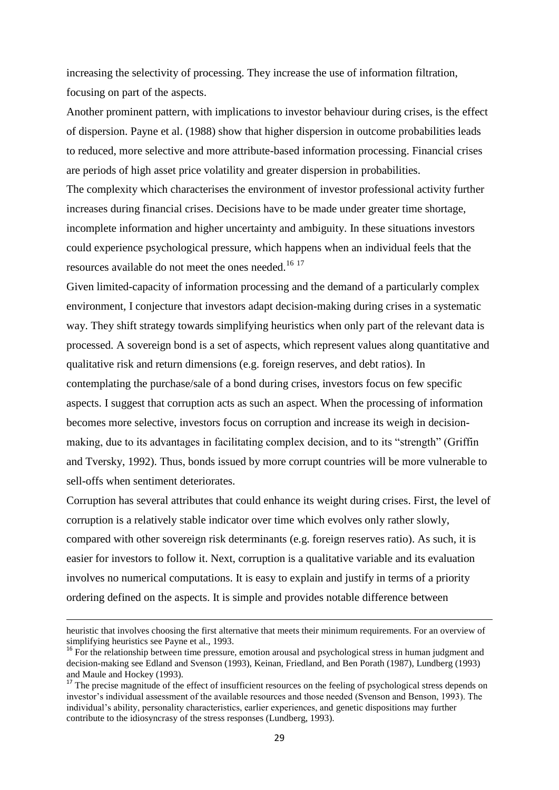increasing the selectivity of processing. They increase the use of information filtration, focusing on part of the aspects.

Another prominent pattern, with implications to investor behaviour during crises, is the effect of dispersion. Payne et al. (1988) show that higher dispersion in outcome probabilities leads to reduced, more selective and more attribute-based information processing. Financial crises are periods of high asset price volatility and greater dispersion in probabilities.

The complexity which characterises the environment of investor professional activity further increases during financial crises. Decisions have to be made under greater time shortage, incomplete information and higher uncertainty and ambiguity. In these situations investors could experience psychological pressure, which happens when an individual feels that the resources available do not meet the ones needed.<sup>16 17</sup>

Given limited-capacity of information processing and the demand of a particularly complex environment, I conjecture that investors adapt decision-making during crises in a systematic way. They shift strategy towards simplifying heuristics when only part of the relevant data is processed. A sovereign bond is a set of aspects, which represent values along quantitative and qualitative risk and return dimensions (e.g. foreign reserves, and debt ratios). In contemplating the purchase/sale of a bond during crises, investors focus on few specific aspects. I suggest that corruption acts as such an aspect. When the processing of information becomes more selective, investors focus on corruption and increase its weigh in decisionmaking, due to its advantages in facilitating complex decision, and to its "strength" (Griffin and Tversky, 1992). Thus, bonds issued by more corrupt countries will be more vulnerable to sell-offs when sentiment deteriorates.

Corruption has several attributes that could enhance its weight during crises. First, the level of corruption is a relatively stable indicator over time which evolves only rather slowly, compared with other sovereign risk determinants (e.g. foreign reserves ratio). As such, it is easier for investors to follow it. Next, corruption is a qualitative variable and its evaluation involves no numerical computations. It is easy to explain and justify in terms of a priority ordering defined on the aspects. It is simple and provides notable difference between

heuristic that involves choosing the first alternative that meets their minimum requirements. For an overview of simplifying heuristics see Payne et al., 1993.

<sup>&</sup>lt;sup>16</sup> For the relationship between time pressure, emotion arousal and psychological stress in human judgment and decision-making see Edland and Svenson (1993), Keinan, Friedland, and Ben Porath (1987), Lundberg (1993) and Maule and Hockey (1993).

<sup>&</sup>lt;sup>17</sup> The precise magnitude of the effect of insufficient resources on the feeling of psychological stress depends on investor's individual assessment of the available resources and those needed (Svenson and Benson, 1993). The individual's ability, personality characteristics, earlier experiences, and genetic dispositions may further contribute to the idiosyncrasy of the stress responses (Lundberg, 1993).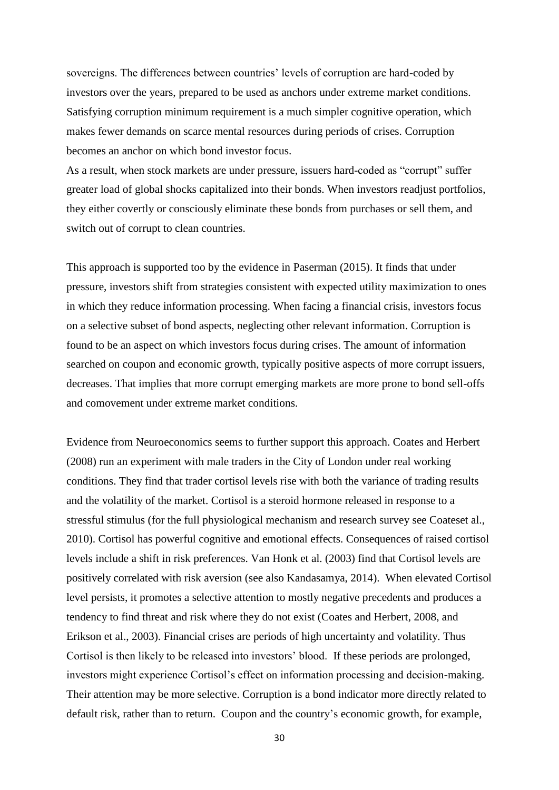sovereigns. The differences between countries' levels of corruption are hard-coded by investors over the years, prepared to be used as anchors under extreme market conditions. Satisfying corruption minimum requirement is a much simpler cognitive operation, which makes fewer demands on scarce mental resources during periods of crises. Corruption becomes an anchor on which bond investor focus.

As a result, when stock markets are under pressure, issuers hard-coded as "corrupt" suffer greater load of global shocks capitalized into their bonds. When investors readjust portfolios, they either covertly or consciously eliminate these bonds from purchases or sell them, and switch out of corrupt to clean countries.

This approach is supported too by the evidence in Paserman (2015). It finds that under pressure, investors shift from strategies consistent with expected utility maximization to ones in which they reduce information processing. When facing a financial crisis, investors focus on a selective subset of bond aspects, neglecting other relevant information. Corruption is found to be an aspect on which investors focus during crises. The amount of information searched on coupon and economic growth, typically positive aspects of more corrupt issuers, decreases. That implies that more corrupt emerging markets are more prone to bond sell-offs and comovement under extreme market conditions.

Evidence from Neuroeconomics seems to further support this approach. Coates and Herbert (2008) run an experiment with male traders in the City of London under real working conditions. They find that trader cortisol levels rise with both the variance of trading results and the volatility of the market. Cortisol is a steroid hormone released in response to a stressful stimulus (for the full physiological mechanism and research survey see Coateset al., 2010). Cortisol has powerful cognitive and emotional effects. Consequences of raised cortisol levels include a shift in risk preferences. Van Honk et al. (2003) find that Cortisol levels are positively correlated with risk aversion (see also Kandasamya, 2014). When elevated Cortisol level persists, it promotes a selective attention to mostly negative precedents and produces a tendency to find threat and risk where they do not exist (Coates and Herbert, 2008, and Erikson et al., 2003). Financial crises are periods of high uncertainty and volatility. Thus Cortisol is then likely to be released into investors' blood. If these periods are prolonged, investors might experience Cortisol's effect on information processing and decision-making. Their attention may be more selective. Corruption is a bond indicator more directly related to default risk, rather than to return. Coupon and the country's economic growth, for example,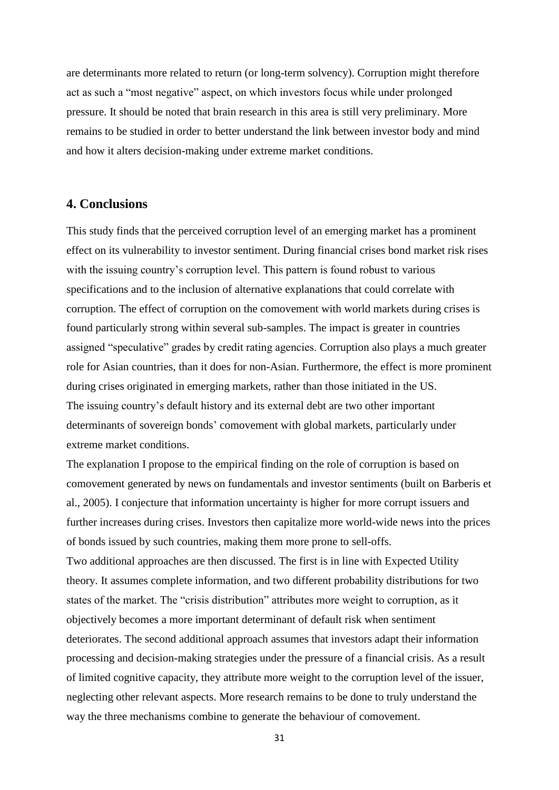are determinants more related to return (or long-term solvency). Corruption might therefore act as such a "most negative" aspect, on which investors focus while under prolonged pressure. It should be noted that brain research in this area is still very preliminary. More remains to be studied in order to better understand the link between investor body and mind and how it alters decision-making under extreme market conditions.

### **4. Conclusions**

This study finds that the perceived corruption level of an emerging market has a prominent effect on its vulnerability to investor sentiment. During financial crises bond market risk rises with the issuing country's corruption level. This pattern is found robust to various specifications and to the inclusion of alternative explanations that could correlate with corruption. The effect of corruption on the comovement with world markets during crises is found particularly strong within several sub-samples. The impact is greater in countries assigned "speculative" grades by credit rating agencies. Corruption also plays a much greater role for Asian countries, than it does for non-Asian. Furthermore, the effect is more prominent during crises originated in emerging markets, rather than those initiated in the US. The issuing country's default history and its external debt are two other important determinants of sovereign bonds' comovement with global markets, particularly under extreme market conditions.

The explanation I propose to the empirical finding on the role of corruption is based on comovement generated by news on fundamentals and investor sentiments (built on Barberis et al., 2005). I conjecture that information uncertainty is higher for more corrupt issuers and further increases during crises. Investors then capitalize more world-wide news into the prices of bonds issued by such countries, making them more prone to sell-offs. Two additional approaches are then discussed. The first is in line with Expected Utility theory. It assumes complete information, and two different probability distributions for two states of the market. The "crisis distribution" attributes more weight to corruption, as it objectively becomes a more important determinant of default risk when sentiment deteriorates. The second additional approach assumes that investors adapt their information processing and decision-making strategies under the pressure of a financial crisis. As a result of limited cognitive capacity, they attribute more weight to the corruption level of the issuer, neglecting other relevant aspects. More research remains to be done to truly understand the

way the three mechanisms combine to generate the behaviour of comovement.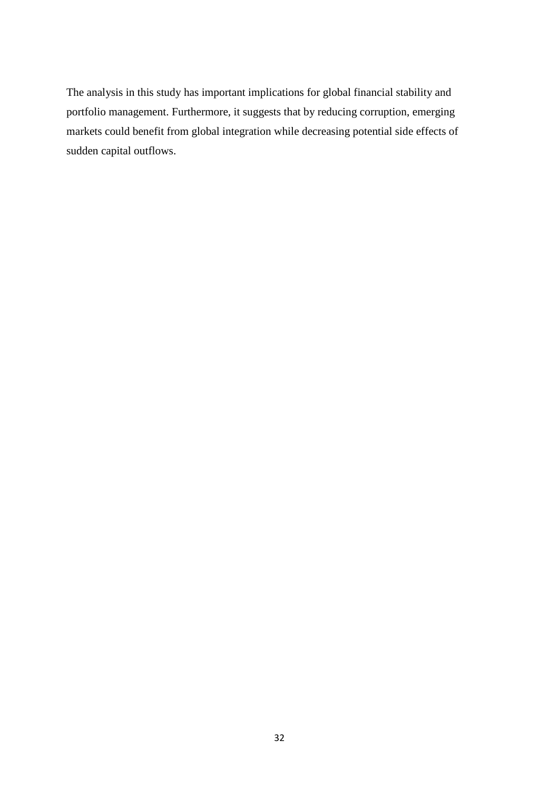The analysis in this study has important implications for global financial stability and portfolio management. Furthermore, it suggests that by reducing corruption, emerging markets could benefit from global integration while decreasing potential side effects of sudden capital outflows.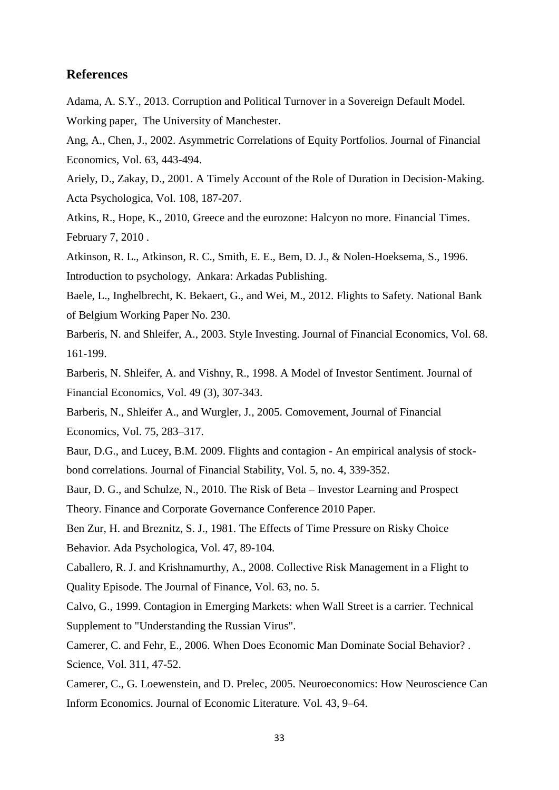#### **References**

Adama, A. S.Y., 2013. Corruption and Political Turnover in a Sovereign Default Model. Working paper, The University of Manchester.

Ang, A., Chen, J., 2002. Asymmetric Correlations of Equity Portfolios. Journal of Financial Economics, Vol. 63, 443-494.

Ariely, D., Zakay, D., 2001. A Timely Account of the Role of Duration in Decision-Making. Acta Psychologica, Vol. 108, 187-207.

Atkins, R., Hope, K., 2010, Greece and the eurozone: Halcyon no more. Financial Times. February 7, 2010 .

Atkinson, R. L., Atkinson, R. C., Smith, E. E., Bem, D. J., & Nolen-Hoeksema, S., 1996. Introduction to psychology, Ankara: Arkadas Publishing.

Baele, L., Inghelbrecht, K. Bekaert, G., and Wei, M., 2012. Flights to Safety. National Bank of Belgium Working Paper No. 230.

Barberis, N. and Shleifer, A., 2003. Style Investing. Journal of Financial Economics, Vol. 68. 161-199.

Barberis, N. Shleifer, A. and Vishny, R., 1998. A Model of Investor Sentiment. Journal of Financial Economics, Vol. 49 (3), 307-343.

Barberis, N., Shleifer A., and Wurgler, J., 2005. Comovement, Journal of Financial Economics, Vol. 75, 283–317.

Baur, D.G., and Lucey, B.M. 2009. Flights and contagion - An empirical analysis of stockbond correlations. Journal of Financial Stability, Vol. 5, no. 4, 339-352.

Baur, D. G., and Schulze, N., 2010. The Risk of Beta – Investor Learning and Prospect Theory. Finance and Corporate Governance Conference 2010 Paper.

Ben Zur, H. and Breznitz, S. J., 1981. The Effects of Time Pressure on Risky Choice Behavior. Ada Psychologica, Vol. 47, 89-104.

Caballero, R. J. and Krishnamurthy, A., 2008. Collective Risk Management in a Flight to Quality Episode. The Journal of Finance, Vol. 63, no. 5.

Calvo, G., 1999. Contagion in Emerging Markets: when Wall Street is a carrier. Technical Supplement to "Understanding the Russian Virus".

Camerer, C. and Fehr, E., 2006. When Does Economic Man Dominate Social Behavior? . Science, Vol. 311, 47-52.

Camerer, C., G. Loewenstein, and D. Prelec, 2005. Neuroeconomics: How Neuroscience Can Inform Economics. Journal of Economic Literature. Vol. 43, 9–64.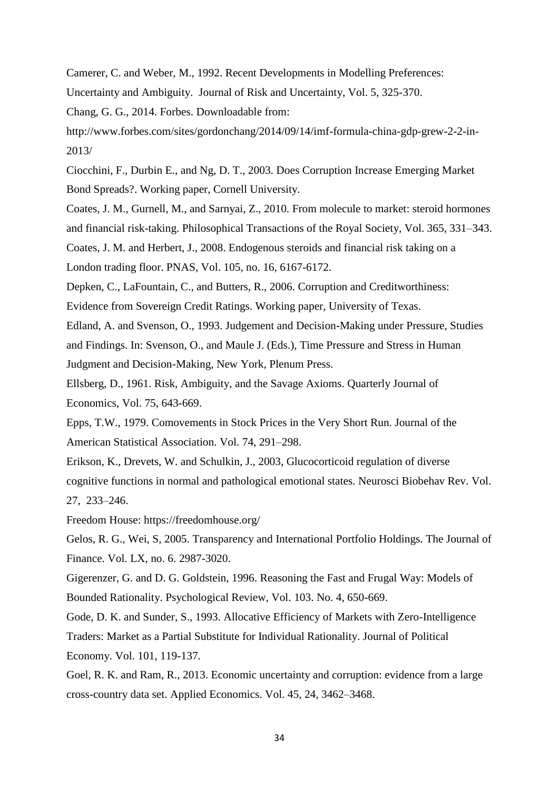Camerer, C. and Weber, M., 1992. Recent Developments in Modelling Preferences:

Uncertainty and Ambiguity. Journal of Risk and Uncertainty, Vol. 5, 325-370.

Chang, G. G., 2014. Forbes. Downloadable from:

http://www.forbes.com/sites/gordonchang/2014/09/14/imf-formula-china-gdp-grew-2-2-in-2013/

Ciocchini, F., Durbin E., and Ng, D. T., 2003. Does Corruption Increase Emerging Market Bond Spreads?. Working paper, Cornell University.

Coates, J. M., Gurnell, M., and Sarnyai, Z., 2010. From molecule to market: steroid hormones and financial risk-taking. Philosophical Transactions of the Royal Society, Vol. 365, 331–343. Coates, J. M. and Herbert, J., 2008. Endogenous steroids and financial risk taking on a

London trading floor. PNAS, Vol. 105, no. 16, 6167-6172.

Depken, C., LaFountain, C., and Butters, R., 2006. Corruption and Creditworthiness:

Evidence from Sovereign Credit Ratings. Working paper, University of Texas.

Edland, A. and Svenson, O., 1993. Judgement and Decision-Making under Pressure, Studies and Findings. In: Svenson, O., and Maule J. (Eds.), Time Pressure and Stress in Human Judgment and Decision-Making, New York, Plenum Press.

Ellsberg, D., 1961. Risk, Ambiguity, and the Savage Axioms. Quarterly Journal of Economics, Vol. 75, 643-669.

Epps, T.W., 1979. Comovements in Stock Prices in the Very Short Run. Journal of the American Statistical Association. Vol. 74, 291–298.

Erikson, K., Drevets, W. and Schulkin, J., 2003, Glucocorticoid regulation of diverse cognitive functions in normal and pathological emotional states. Neurosci Biobehav Rev. Vol. 27, 233–246.

Freedom House: https://freedomhouse.org/

Gelos, R. G., Wei, S, 2005. Transparency and International Portfolio Holdings. The Journal of Finance. Vol. LX, no. 6. 2987-3020.

Gigerenzer, G. and D. G. Goldstein, 1996. Reasoning the Fast and Frugal Way: Models of Bounded Rationality. Psychological Review, Vol. 103. No. 4, 650-669.

Gode, D. K. and Sunder, S., 1993. Allocative Efficiency of Markets with Zero-Intelligence Traders: Market as a Partial Substitute for Individual Rationality. Journal of Political Economy. Vol. 101, 119-137.

Goel, R. K. and Ram, R., 2013. Economic uncertainty and corruption: evidence from a large cross-country data set. Applied Economics. Vol. 45, 24, 3462–3468.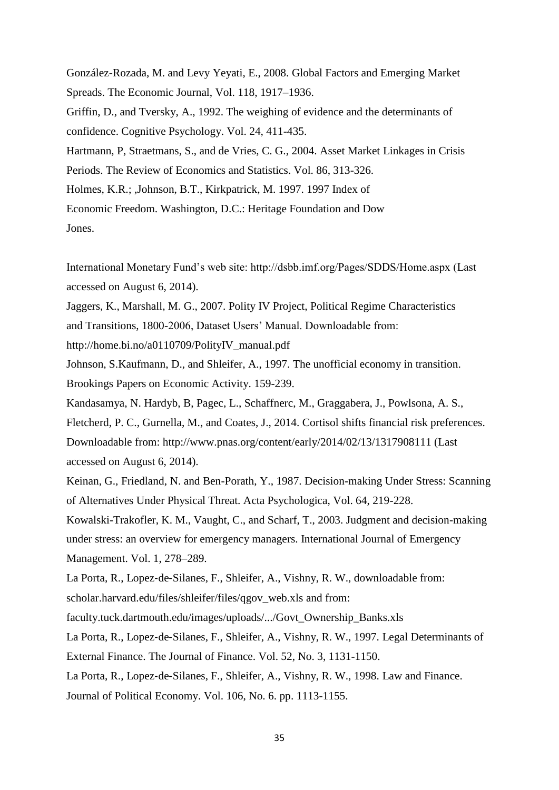González-Rozada, M. and Levy Yeyati, E., 2008. Global Factors and Emerging Market Spreads. The Economic Journal, Vol. 118, 1917–1936. Griffin, D., and Tversky, A., 1992. The weighing of evidence and the determinants of confidence. Cognitive Psychology. Vol. 24, 411-435. Hartmann, P, Straetmans, S., and de Vries, C. G., 2004. Asset Market Linkages in Crisis Periods. The Review of Economics and Statistics. Vol. 86, 313-326. Holmes, K.R.; ,Johnson, B.T., Kirkpatrick, M. 1997. 1997 Index of Economic Freedom. Washington, D.C.: Heritage Foundation and Dow Jones.

International Monetary Fund's web site: http://dsbb.imf.org/Pages/SDDS/Home.aspx (Last accessed on August 6, 2014).

Jaggers, K., Marshall, M. G., 2007. Polity IV Project, Political Regime Characteristics and Transitions, 1800-2006, Dataset Users' Manual. Downloadable from:

http://home.bi.no/a0110709/PolityIV\_manual.pdf

Johnson, S.Kaufmann, D., and Shleifer, A., 1997. The unofficial economy in transition. Brookings Papers on Economic Activity. 159-239.

Kandasamya, N. Hardyb, B, Pagec, L., Schaffnerc, M., Graggabera, J., Powlsona, A. S.,

Fletcherd, P. C., Gurnella, M., and Coates, J., 2014. Cortisol shifts financial risk preferences. Downloadable from: http://www.pnas.org/content/early/2014/02/13/1317908111 (Last accessed on August 6, 2014).

Keinan, G., Friedland, N. and Ben-Porath, Y., 1987. Decision-making Under Stress: Scanning of Alternatives Under Physical Threat. Acta Psychologica, Vol. 64, 219-228.

Kowalski-Trakofler, K. M., Vaught, C., and Scharf, T., 2003. Judgment and decision-making under stress: an overview for emergency managers. International Journal of Emergency Management. Vol. 1, 278–289.

La Porta, R., Lopez‐de‐Silanes, F., Shleifer, A., Vishny, R. W., downloadable from:

scholar.harvard.edu/files/shleifer/files/qgov\_web.xls and from:

faculty.tuck.dartmouth.edu/images/uploads/.../Govt\_Ownership\_Banks.xls

La Porta, R., Lopez‐de‐Silanes, F., Shleifer, A., Vishny, R. W., 1997. Legal Determinants of

External Finance. The Journal of Finance. Vol. 52, No. 3, 1131-1150.

La Porta, R., Lopez‐de‐Silanes, F., Shleifer, A., Vishny, R. W., 1998. Law and Finance.

Journal of Political Economy. Vol. 106, No. 6. pp. 1113-1155.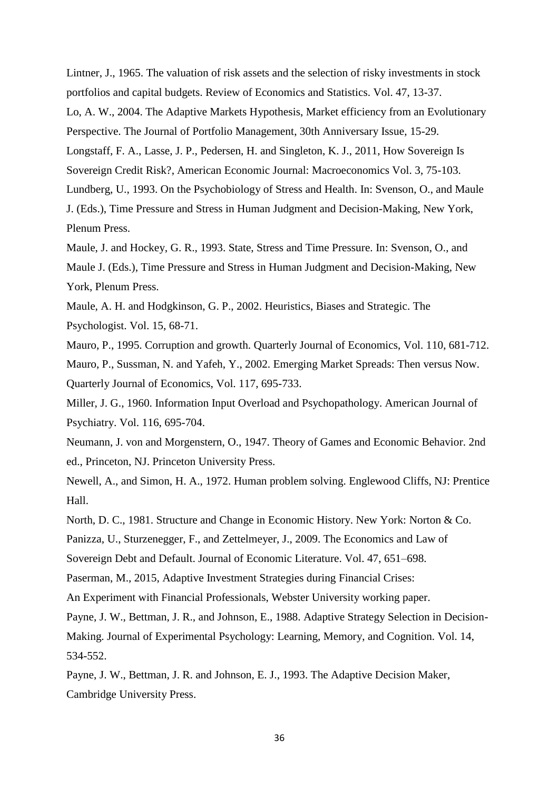Lintner, J., 1965. The valuation of risk assets and the selection of risky investments in stock portfolios and capital budgets. Review of Economics and Statistics. Vol. 47, 13-37. Lo, A. W., 2004. The Adaptive Markets Hypothesis, Market efficiency from an Evolutionary Perspective. The Journal of Portfolio Management, 30th Anniversary Issue, 15-29. Longstaff, F. A., Lasse, J. P., Pedersen, H. and Singleton, K. J., 2011, How Sovereign Is Sovereign Credit Risk?, American Economic Journal: Macroeconomics Vol. 3, 75-103. Lundberg, U., 1993. On the Psychobiology of Stress and Health. In: Svenson, O., and Maule J. (Eds.), Time Pressure and Stress in Human Judgment and Decision-Making, New York, Plenum Press.

Maule, J. and Hockey, G. R., 1993. State, Stress and Time Pressure. In: Svenson, O., and Maule J. (Eds.), Time Pressure and Stress in Human Judgment and Decision-Making, New York, Plenum Press.

Maule, A. H. and Hodgkinson, G. P., 2002. Heuristics, Biases and Strategic. The Psychologist. Vol. 15, 68-71.

Mauro, P., 1995. Corruption and growth. Quarterly Journal of Economics, Vol. 110, 681-712. Mauro, P., Sussman, N. and Yafeh, Y., 2002. Emerging Market Spreads: Then versus Now. Quarterly Journal of Economics, Vol. 117, 695-733.

Miller, J. G., 1960. Information Input Overload and Psychopathology. American Journal of Psychiatry. Vol. 116, 695-704.

Neumann, J. von and Morgenstern, O., 1947. Theory of Games and Economic Behavior. 2nd ed., Princeton, NJ. Princeton University Press.

Newell, A., and Simon, H. A., 1972. Human problem solving. Englewood Cliffs, NJ: Prentice Hall.

North, D. C., 1981. Structure and Change in Economic History. New York: Norton & Co.

Panizza, U., Sturzenegger, F., and Zettelmeyer, J., 2009. The Economics and Law of

Sovereign Debt and Default. Journal of Economic Literature. Vol. 47, 651–698.

Paserman, M., 2015, Adaptive Investment Strategies during Financial Crises:

An Experiment with Financial Professionals, Webster University working paper.

Payne, J. W., Bettman, J. R., and Johnson, E., 1988. Adaptive Strategy Selection in Decision-

Making. Journal of Experimental Psychology: Learning, Memory, and Cognition. Vol. 14, 534-552.

Payne, J. W., Bettman, J. R. and Johnson, E. J., 1993. The Adaptive Decision Maker, Cambridge University Press.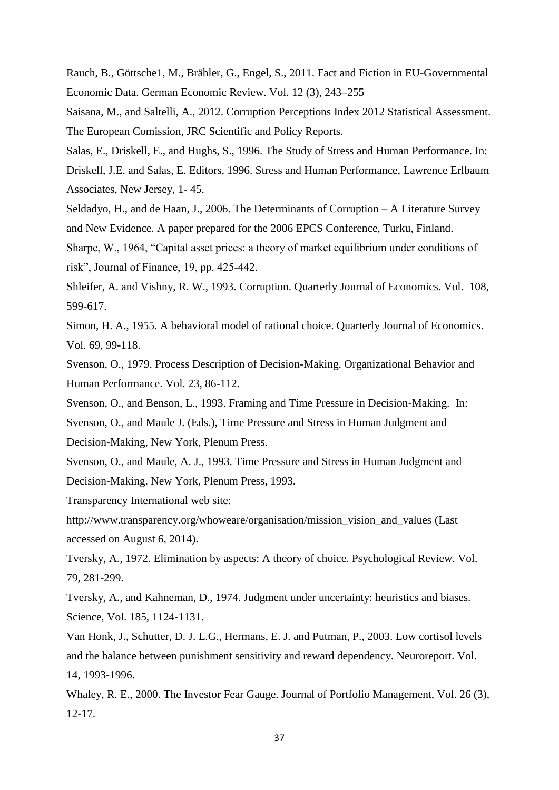Rauch, B., Göttsche1, M., Brähler, G., Engel, S., 2011. Fact and Fiction in EU-Governmental Economic Data. German Economic Review. Vol. 12 (3), 243–255

Saisana, M., and Saltelli, A., 2012. Corruption Perceptions Index 2012 Statistical Assessment. The European Comission, JRC Scientific and Policy Reports.

Salas, E., Driskell, E., and Hughs, S., 1996. The Study of Stress and Human Performance. In: Driskell, J.E. and Salas, E. Editors, 1996. Stress and Human Performance, Lawrence Erlbaum Associates, New Jersey, 1- 45.

Seldadyo, H., and de Haan, J., 2006. The Determinants of Corruption – A Literature Survey and New Evidence. A paper prepared for the 2006 EPCS Conference, Turku, Finland.

Sharpe, W., 1964, "Capital asset prices: a theory of market equilibrium under conditions of risk", Journal of Finance, 19, pp. 425-442.

Shleifer, A. and Vishny, R. W., 1993. Corruption. Quarterly Journal of Economics. Vol. 108, 599-617.

Simon, H. A., 1955. A behavioral model of rational choice. Quarterly Journal of Economics. Vol. 69, 99-118.

Svenson, O., 1979. Process Description of Decision-Making. Organizational Behavior and Human Performance. Vol. 23, 86-112.

Svenson, O., and Benson, L., 1993. Framing and Time Pressure in Decision-Making. In:

Svenson, O., and Maule J. (Eds.), Time Pressure and Stress in Human Judgment and Decision-Making, New York, Plenum Press.

Svenson, O., and Maule, A. J., 1993. Time Pressure and Stress in Human Judgment and Decision-Making. New York, Plenum Press, 1993.

Transparency International web site:

http://www.transparency.org/whoweare/organisation/mission\_vision\_and\_values (Last accessed on August 6, 2014).

Tversky, A., 1972. Elimination by aspects: A theory of choice. Psychological Review. Vol. 79, 281-299.

Tversky, A., and Kahneman, D., 1974. Judgment under uncertainty: heuristics and biases. Science, Vol. 185, 1124-1131.

Van Honk, J., Schutter, D. J. L.G., Hermans, E. J. and Putman, P., 2003. Low cortisol levels and the balance between punishment sensitivity and reward dependency. Neuroreport. Vol. 14, 1993-1996.

Whaley, R. E., 2000. The Investor Fear Gauge. Journal of Portfolio Management, Vol. 26 (3), 12-17.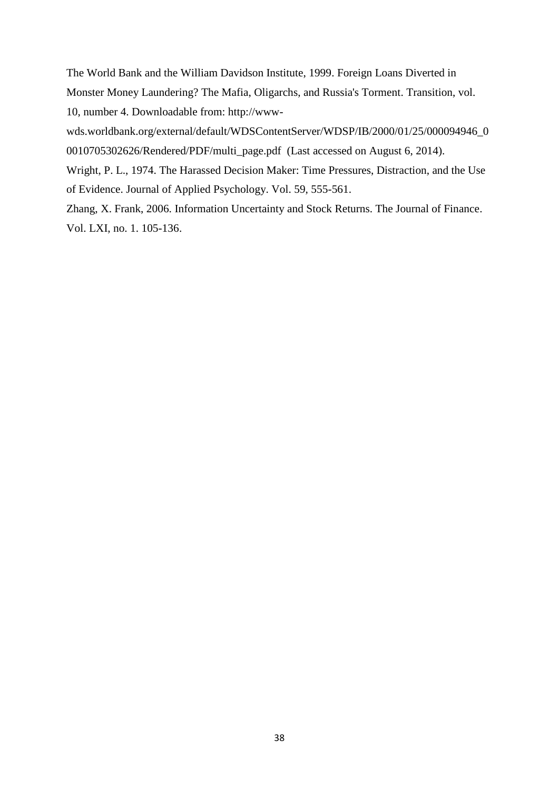The World Bank and the William Davidson Institute, 1999. Foreign Loans Diverted in Monster Money Laundering? The Mafia, Oligarchs, and Russia's Torment. Transition, vol. 10, number 4. Downloadable from: http://www-

wds.worldbank.org/external/default/WDSContentServer/WDSP/IB/2000/01/25/000094946\_0 0010705302626/Rendered/PDF/multi\_page.pdf (Last accessed on August 6, 2014).

Wright, P. L., 1974. The Harassed Decision Maker: Time Pressures, Distraction, and the Use of Evidence. Journal of Applied Psychology. Vol. 59, 555-561.

Zhang, X. Frank, 2006. Information Uncertainty and Stock Returns. The Journal of Finance. Vol. LXI, no. 1. 105-136.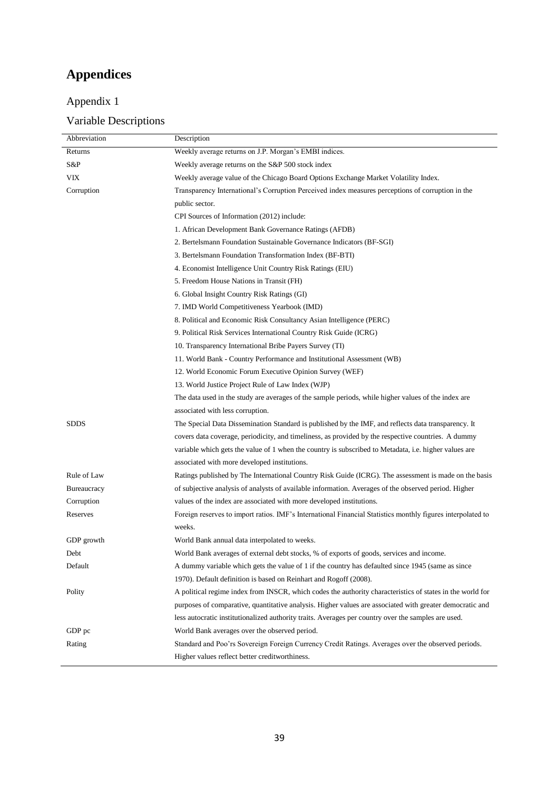# **Appendices**

# Appendix 1

## Variable Descriptions

| Abbreviation | Description                                                                                                 |
|--------------|-------------------------------------------------------------------------------------------------------------|
| Returns      | Weekly average returns on J.P. Morgan's EMBI indices.                                                       |
| S&P          | Weekly average returns on the S&P 500 stock index                                                           |
| VIX          | Weekly average value of the Chicago Board Options Exchange Market Volatility Index.                         |
| Corruption   | Transparency International's Corruption Perceived index measures perceptions of corruption in the           |
|              | public sector.                                                                                              |
|              | CPI Sources of Information (2012) include:                                                                  |
|              | 1. African Development Bank Governance Ratings (AFDB)                                                       |
|              | 2. Bertelsmann Foundation Sustainable Governance Indicators (BF-SGI)                                        |
|              | 3. Bertelsmann Foundation Transformation Index (BF-BTI)                                                     |
|              | 4. Economist Intelligence Unit Country Risk Ratings (EIU)                                                   |
|              | 5. Freedom House Nations in Transit (FH)                                                                    |
|              | 6. Global Insight Country Risk Ratings (GI)                                                                 |
|              | 7. IMD World Competitiveness Yearbook (IMD)                                                                 |
|              | 8. Political and Economic Risk Consultancy Asian Intelligence (PERC)                                        |
|              | 9. Political Risk Services International Country Risk Guide (ICRG)                                          |
|              | 10. Transparency International Bribe Payers Survey (TI)                                                     |
|              | 11. World Bank - Country Performance and Institutional Assessment (WB)                                      |
|              | 12. World Economic Forum Executive Opinion Survey (WEF)                                                     |
|              | 13. World Justice Project Rule of Law Index (WJP)                                                           |
|              | The data used in the study are averages of the sample periods, while higher values of the index are         |
|              | associated with less corruption.                                                                            |
| <b>SDDS</b>  | The Special Data Dissemination Standard is published by the IMF, and reflects data transparency. It         |
|              | covers data coverage, periodicity, and timeliness, as provided by the respective countries. A dummy         |
|              | variable which gets the value of 1 when the country is subscribed to Metadata, i.e. higher values are       |
|              | associated with more developed institutions.                                                                |
| Rule of Law  | Ratings published by The International Country Risk Guide (ICRG). The assessment is made on the basis       |
| Bureaucracy  | of subjective analysis of analysts of available information. Averages of the observed period. Higher        |
| Corruption   | values of the index are associated with more developed institutions.                                        |
| Reserves     | Foreign reserves to import ratios. IMF's International Financial Statistics monthly figures interpolated to |
|              | weeks.                                                                                                      |
| GDP growth   | World Bank annual data interpolated to weeks.                                                               |
| Debt         | World Bank averages of external debt stocks, % of exports of goods, services and income.                    |
| Default      | A dummy variable which gets the value of 1 if the country has defaulted since 1945 (same as since           |
|              | 1970). Default definition is based on Reinhart and Rogoff (2008).                                           |
| Polity       | A political regime index from INSCR, which codes the authority characteristics of states in the world for   |
|              | purposes of comparative, quantitative analysis. Higher values are associated with greater democratic and    |
|              | less autocratic institutionalized authority traits. Averages per country over the samples are used.         |
| GDP pc       | World Bank averages over the observed period.                                                               |
| Rating       | Standard and Poo'rs Sovereign Foreign Currency Credit Ratings. Averages over the observed periods.          |
|              | Higher values reflect better creditworthiness.                                                              |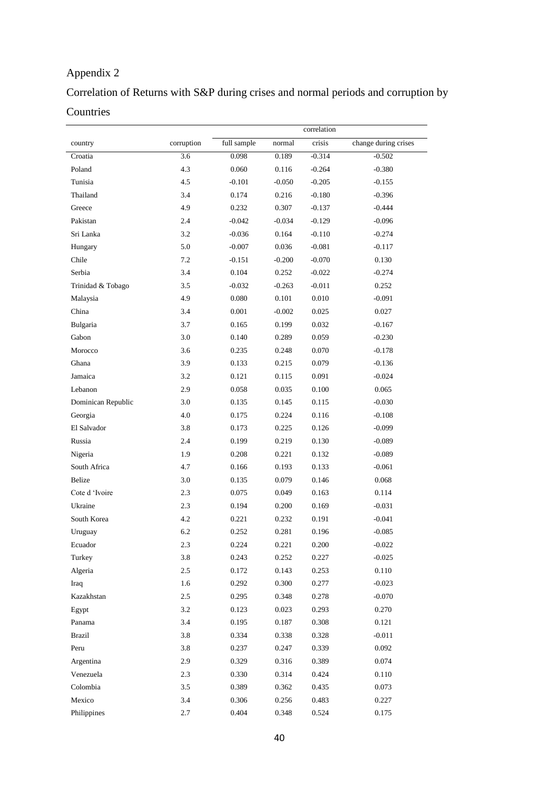## Appendix 2

# Correlation of Returns with S&P during crises and normal periods and corruption by Countries

|                    |            | correlation |          |          |                      |  |
|--------------------|------------|-------------|----------|----------|----------------------|--|
| country            | corruption | full sample | normal   | crisis   | change during crises |  |
| Croatia            | 3.6        | 0.098       | 0.189    | $-0.314$ | $-0.502$             |  |
| Poland             | 4.3        | 0.060       | 0.116    | $-0.264$ | $-0.380$             |  |
| Tunisia            | 4.5        | $-0.101$    | $-0.050$ | $-0.205$ | $-0.155$             |  |
| Thailand           | 3.4        | 0.174       | 0.216    | $-0.180$ | $-0.396$             |  |
| Greece             | 4.9        | 0.232       | 0.307    | $-0.137$ | $-0.444$             |  |
| Pakistan           | 2.4        | $-0.042$    | $-0.034$ | $-0.129$ | $-0.096$             |  |
| Sri Lanka          | 3.2        | $-0.036$    | 0.164    | $-0.110$ | $-0.274$             |  |
| Hungary            | 5.0        | $-0.007$    | 0.036    | $-0.081$ | $-0.117$             |  |
| Chile              | 7.2        | $-0.151$    | $-0.200$ | $-0.070$ | 0.130                |  |
| Serbia             | 3.4        | 0.104       | 0.252    | $-0.022$ | $-0.274$             |  |
| Trinidad & Tobago  | 3.5        | $-0.032$    | $-0.263$ | $-0.011$ | 0.252                |  |
| Malaysia           | 4.9        | 0.080       | 0.101    | 0.010    | $-0.091$             |  |
| China              | 3.4        | 0.001       | $-0.002$ | 0.025    | 0.027                |  |
| Bulgaria           | 3.7        | 0.165       | 0.199    | 0.032    | $-0.167$             |  |
| Gabon              | 3.0        | 0.140       | 0.289    | 0.059    | $-0.230$             |  |
| Morocco            | 3.6        | 0.235       | 0.248    | 0.070    | $-0.178$             |  |
| Ghana              | 3.9        | 0.133       | 0.215    | 0.079    | $-0.136$             |  |
| Jamaica            | 3.2        | 0.121       | 0.115    | 0.091    | $-0.024$             |  |
| Lebanon            | 2.9        | 0.058       | 0.035    | 0.100    | 0.065                |  |
| Dominican Republic | 3.0        | 0.135       | 0.145    | 0.115    | $-0.030$             |  |
| Georgia            | 4.0        | 0.175       | 0.224    | 0.116    | $-0.108$             |  |
| El Salvador        | 3.8        | 0.173       | 0.225    | 0.126    | $-0.099$             |  |
| Russia             | 2.4        | 0.199       | 0.219    | 0.130    | $-0.089$             |  |
| Nigeria            | 1.9        | 0.208       | 0.221    | 0.132    | $-0.089$             |  |
| South Africa       | 4.7        | 0.166       | 0.193    | 0.133    | $-0.061$             |  |
| Belize             | 3.0        | 0.135       | 0.079    | 0.146    | 0.068                |  |
| Cote d 'Ivoire     | 2.3        | 0.075       | 0.049    | 0.163    | 0.114                |  |
| Ukraine            | 2.3        | 0.194       | 0.200    | 0.169    | $-0.031$             |  |
| South Korea        | 4.2        | 0.221       | 0.232    | 0.191    | $-0.041$             |  |
| Uruguay            | 6.2        | 0.252       | 0.281    | 0.196    | $-0.085$             |  |
| Ecuador            | 2.3        | 0.224       | 0.221    | 0.200    | $-0.022$             |  |
| Turkey             | 3.8        | 0.243       | 0.252    | 0.227    | $-0.025$             |  |
| Algeria            | 2.5        | 0.172       | 0.143    | 0.253    | 0.110                |  |
| Iraq               | 1.6        | 0.292       | 0.300    | 0.277    | $-0.023$             |  |
| Kazakhstan         | 2.5        | 0.295       | 0.348    | 0.278    | $-0.070$             |  |
| Egypt              | 3.2        | 0.123       | 0.023    | 0.293    | 0.270                |  |
| Panama             | 3.4        | 0.195       | 0.187    | 0.308    | 0.121                |  |
| <b>Brazil</b>      | 3.8        | 0.334       | 0.338    | 0.328    | $-0.011$             |  |
| Peru               | 3.8        | 0.237       | 0.247    | 0.339    | 0.092                |  |
| Argentina          | 2.9        | 0.329       | 0.316    | 0.389    | 0.074                |  |
| Venezuela          | 2.3        | 0.330       | 0.314    | 0.424    | 0.110                |  |
| Colombia           | 3.5        | 0.389       | 0.362    | 0.435    | 0.073                |  |
| Mexico             | 3.4        | 0.306       | 0.256    | 0.483    | 0.227                |  |
| Philippines        | 2.7        | 0.404       | 0.348    | 0.524    | 0.175                |  |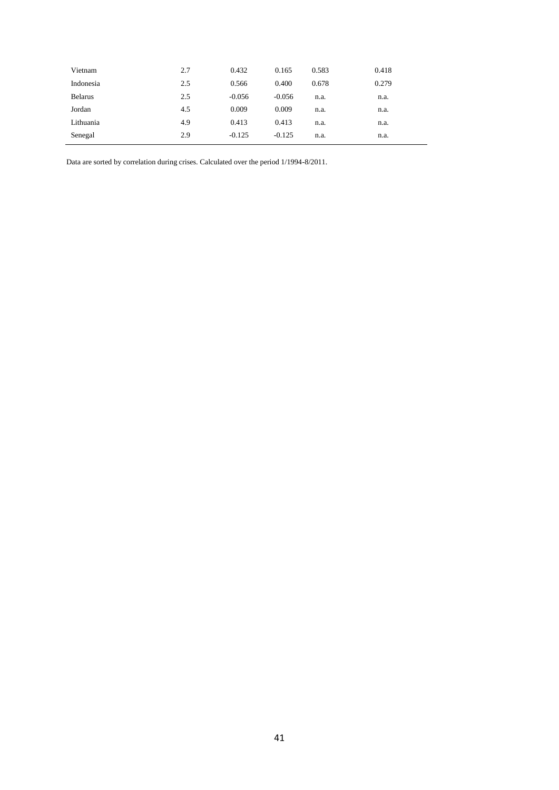| Vietnam        | 2.7 | 0.432    | 0.165    | 0.583 | 0.418 |
|----------------|-----|----------|----------|-------|-------|
| Indonesia      | 2.5 | 0.566    | 0.400    | 0.678 | 0.279 |
| <b>Belarus</b> | 2.5 | $-0.056$ | $-0.056$ | n.a.  | n.a.  |
| Jordan         | 4.5 | 0.009    | 0.009    | n.a.  | n.a.  |
| Lithuania      | 4.9 | 0.413    | 0.413    | n.a.  | n.a.  |
| Senegal        | 2.9 | $-0.125$ | $-0.125$ | n.a.  | n.a.  |

Data are sorted by correlation during crises. Calculated over the period 1/1994-8/2011.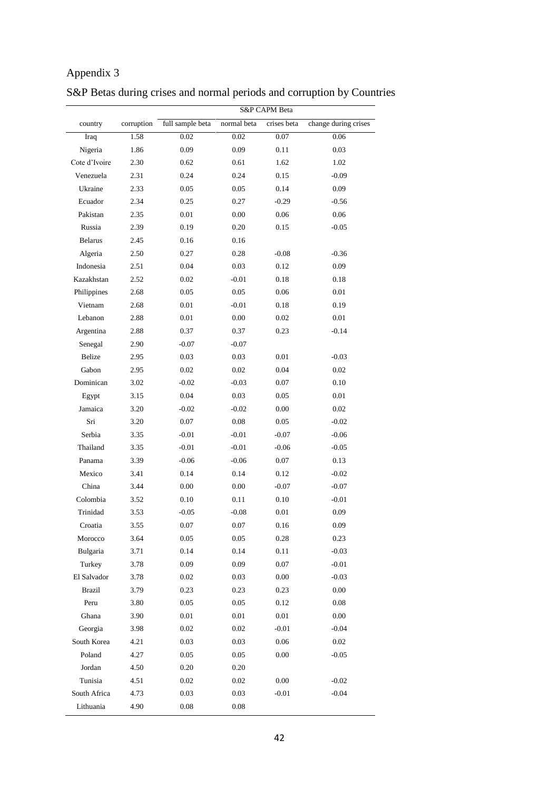|                | S&P CAPM Beta |                  |             |             |                      |  |  |
|----------------|---------------|------------------|-------------|-------------|----------------------|--|--|
| country        | corruption    | full sample beta | normal beta | crises beta | change during crises |  |  |
| Iraq           | 1.58          | 0.02             | 0.02        | 0.07        | 0.06                 |  |  |
| Nigeria        | 1.86          | 0.09             | 0.09        | 0.11        | 0.03                 |  |  |
| Cote d'Ivoire  | 2.30          | 0.62             | 0.61        | 1.62        | 1.02                 |  |  |
| Venezuela      | 2.31          | 0.24             | 0.24        | 0.15        | $-0.09$              |  |  |
| Ukraine        | 2.33          | 0.05             | 0.05        | 0.14        | 0.09                 |  |  |
| Ecuador        | 2.34          | 0.25             | 0.27        | $-0.29$     | $-0.56$              |  |  |
| Pakistan       | 2.35          | 0.01             | 0.00        | 0.06        | 0.06                 |  |  |
| Russia         | 2.39          | 0.19             | 0.20        | 0.15        | $-0.05$              |  |  |
| <b>Belarus</b> | 2.45          | 0.16             | 0.16        |             |                      |  |  |
| Algeria        | 2.50          | 0.27             | 0.28        | $-0.08$     | $-0.36$              |  |  |
| Indonesia      | 2.51          | 0.04             | 0.03        | 0.12        | 0.09                 |  |  |
| Kazakhstan     | 2.52          | 0.02             | $-0.01$     | 0.18        | 0.18                 |  |  |
| Philippines    | 2.68          | 0.05             | 0.05        | 0.06        | 0.01                 |  |  |
| Vietnam        | 2.68          | 0.01             | $-0.01$     | 0.18        | 0.19                 |  |  |
| Lebanon        | 2.88          | 0.01             | 0.00        | 0.02        | 0.01                 |  |  |
| Argentina      | 2.88          | 0.37             | 0.37        | 0.23        | $-0.14$              |  |  |
| Senegal        | 2.90          | $-0.07$          | $-0.07$     |             |                      |  |  |
| Belize         | 2.95          | 0.03             | 0.03        | 0.01        | $-0.03$              |  |  |
| Gabon          | 2.95          | 0.02             | 0.02        | 0.04        | 0.02                 |  |  |
| Dominican      | 3.02          | $-0.02$          | $-0.03$     | 0.07        | 0.10                 |  |  |
| Egypt          | 3.15          | 0.04             | 0.03        | 0.05        | 0.01                 |  |  |
| Jamaica        | 3.20          | $-0.02$          | $-0.02$     | 0.00        | 0.02                 |  |  |
| Sri            | 3.20          | 0.07             | 0.08        | 0.05        | $-0.02$              |  |  |
| Serbia         | 3.35          | $-0.01$          | $-0.01$     | $-0.07$     | $-0.06$              |  |  |
| Thailand       | 3.35          | $-0.01$          | $-0.01$     | $-0.06$     | $-0.05$              |  |  |
| Panama         | 3.39          | $-0.06$          | $-0.06$     | 0.07        | 0.13                 |  |  |
| Mexico         | 3.41          | 0.14             | 0.14        | 0.12        | $-0.02$              |  |  |
| China          | 3.44          | 0.00             | 0.00        | $-0.07$     | $-0.07$              |  |  |
| Colombia       | 3.52          | 0.10             | 0.11        | 0.10        | $-0.01$              |  |  |
| Trinidad       | 3.53          | $-0.05$          | $-0.08$     | 0.01        | 0.09                 |  |  |
| Croatia        | 3.55          | 0.07             | 0.07        | 0.16        | 0.09                 |  |  |
| Morocco        | 3.64          | 0.05             | $0.05\,$    | 0.28        | 0.23                 |  |  |
| Bulgaria       | 3.71          | 0.14             | 0.14        | 0.11        | $-0.03$              |  |  |
| Turkey         | 3.78          | 0.09             | 0.09        | $0.07\,$    | $-0.01$              |  |  |
| El Salvador    | 3.78          | $0.02\,$         | 0.03        | $0.00\,$    | $-0.03$              |  |  |
| <b>Brazil</b>  | 3.79          | 0.23             | 0.23        | 0.23        | 0.00                 |  |  |
| Peru           | 3.80          | 0.05             | $0.05\,$    | 0.12        | $0.08\,$             |  |  |
| Ghana          | 3.90          | 0.01             | $0.01\,$    | 0.01        | $0.00\,$             |  |  |
| Georgia        | 3.98          | 0.02             | 0.02        | $-0.01$     | $-0.04$              |  |  |
| South Korea    | 4.21          | 0.03             | 0.03        | $0.06\,$    | $0.02\,$             |  |  |
| Poland         | 4.27          | 0.05             | $0.05\,$    | $0.00\,$    | $-0.05$              |  |  |
| Jordan         | 4.50          | 0.20             | 0.20        |             |                      |  |  |
| Tunisia        | 4.51          | 0.02             | $0.02\,$    | $0.00\,$    | $-0.02$              |  |  |
| South Africa   | 4.73          | 0.03             | 0.03        | $-0.01$     | $-0.04$              |  |  |
| Lithuania      | 4.90          | $0.08\,$         | $0.08\,$    |             |                      |  |  |

# S&P Betas during crises and normal periods and corruption by Countries

Appendix 3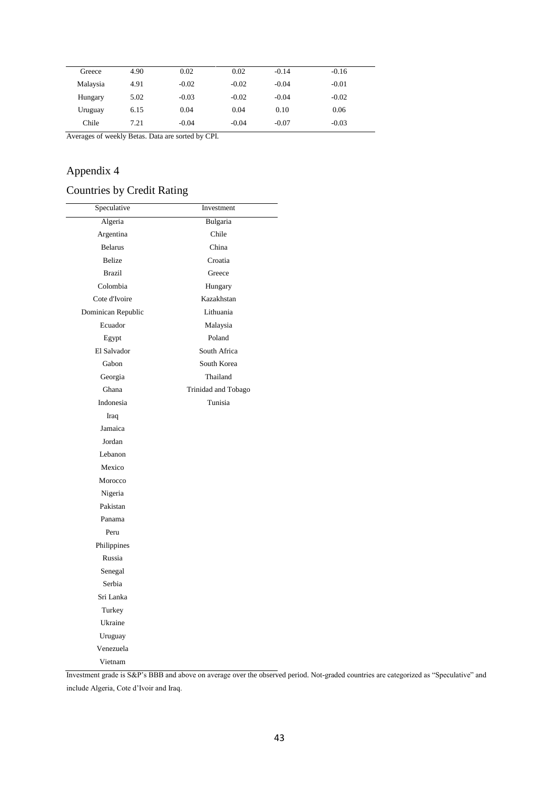| Greece   | 4.90 | 0.02    | 0.02    | $-0.14$ | $-0.16$ |
|----------|------|---------|---------|---------|---------|
| Malaysia | 4.91 | $-0.02$ | $-0.02$ | $-0.04$ | $-0.01$ |
| Hungary  | 5.02 | $-0.03$ | $-0.02$ | $-0.04$ | $-0.02$ |
| Uruguay  | 6.15 | 0.04    | 0.04    | 0.10    | 0.06    |
| Chile    | 7.21 | $-0.04$ | $-0.04$ | $-0.07$ | $-0.03$ |

Averages of weekly Betas. Data are sorted by CPI.

## Appendix 4

## Countries by Credit Rating

| Speculative        | Investment          |
|--------------------|---------------------|
| Algeria            | Bulgaria            |
| Argentina          | Chile               |
| <b>Belarus</b>     | China               |
| <b>Belize</b>      | Croatia             |
| <b>Brazil</b>      | Greece              |
| Colombia           | Hungary             |
| Cote d'Ivoire      | Kazakhstan          |
| Dominican Republic | Lithuania           |
| Ecuador            | Malaysia            |
| Egypt              | Poland              |
| El Salvador        | South Africa        |
| Gabon              | South Korea         |
| Georgia            | Thailand            |
| Ghana              | Trinidad and Tobago |
| Indonesia          | Tunisia             |
| Iraq               |                     |
| Jamaica            |                     |
| Jordan             |                     |
| Lebanon            |                     |
| Mexico             |                     |
| Morocco            |                     |
| Nigeria            |                     |
| Pakistan           |                     |
| Panama             |                     |
| Peru               |                     |
| Philippines        |                     |
| Russia             |                     |
| Senegal            |                     |
| Serbia             |                     |
| Sri Lanka          |                     |
| Turkey             |                     |
| Ukraine            |                     |
| Uruguay            |                     |
| Venezuela          |                     |
| Vietnam            |                     |

Investment grade is S&P's BBB and above on average over the observed period. Not-graded countries are categorized as "Speculative" and include Algeria, Cote d'Ivoir and Iraq.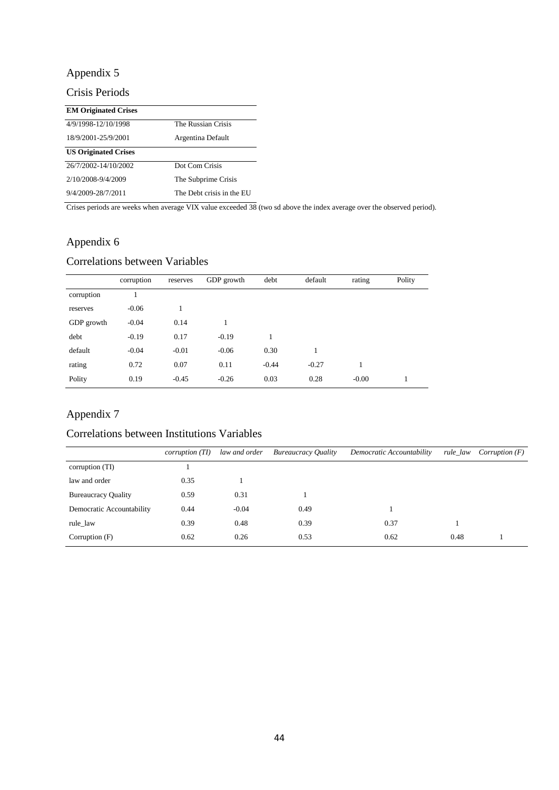## Appendix 5

## Crisis Periods

| <b>EM Originated Crises</b> |                           |  |  |
|-----------------------------|---------------------------|--|--|
| 4/9/1998-12/10/1998         | The Russian Crisis        |  |  |
| 18/9/2001-25/9/2001         | Argentina Default         |  |  |
| <b>US Originated Crises</b> |                           |  |  |
| 26/7/2002-14/10/2002        | Dot Com Crisis            |  |  |
| 2/10/2008-9/4/2009          | The Subprime Crisis       |  |  |
| 9/4/2009-28/7/2011          | The Debt crisis in the EU |  |  |

Crises periods are weeks when average VIX value exceeded 38 (two sd above the index average over the observed period).

## Appendix 6

### Correlations between Variables

|            | corruption | reserves | GDP growth | debt    | default | rating  | Polity |
|------------|------------|----------|------------|---------|---------|---------|--------|
| corruption |            |          |            |         |         |         |        |
| reserves   | $-0.06$    |          |            |         |         |         |        |
| GDP growth | $-0.04$    | 0.14     |            |         |         |         |        |
| debt       | $-0.19$    | 0.17     | $-0.19$    | 1       |         |         |        |
| default    | $-0.04$    | $-0.01$  | $-0.06$    | 0.30    |         |         |        |
| rating     | 0.72       | 0.07     | 0.11       | $-0.44$ | $-0.27$ |         |        |
| Polity     | 0.19       | $-0.45$  | $-0.26$    | 0.03    | 0.28    | $-0.00$ |        |

## Appendix 7

### Correlations between Institutions Variables

|                            | corruption(TI) | law and order | <b>Bureaucracy Quality</b> | Democratic Accountability | rule_law | <i>Corruption</i> $(F)$ |
|----------------------------|----------------|---------------|----------------------------|---------------------------|----------|-------------------------|
| corruption (TI)            |                |               |                            |                           |          |                         |
| law and order              | 0.35           |               |                            |                           |          |                         |
| <b>Bureaucracy Quality</b> | 0.59           | 0.31          |                            |                           |          |                         |
| Democratic Accountability  | 0.44           | $-0.04$       | 0.49                       |                           |          |                         |
| rule_law                   | 0.39           | 0.48          | 0.39                       | 0.37                      |          |                         |
| Corruption (F)             | 0.62           | 0.26          | 0.53                       | 0.62                      | 0.48     |                         |